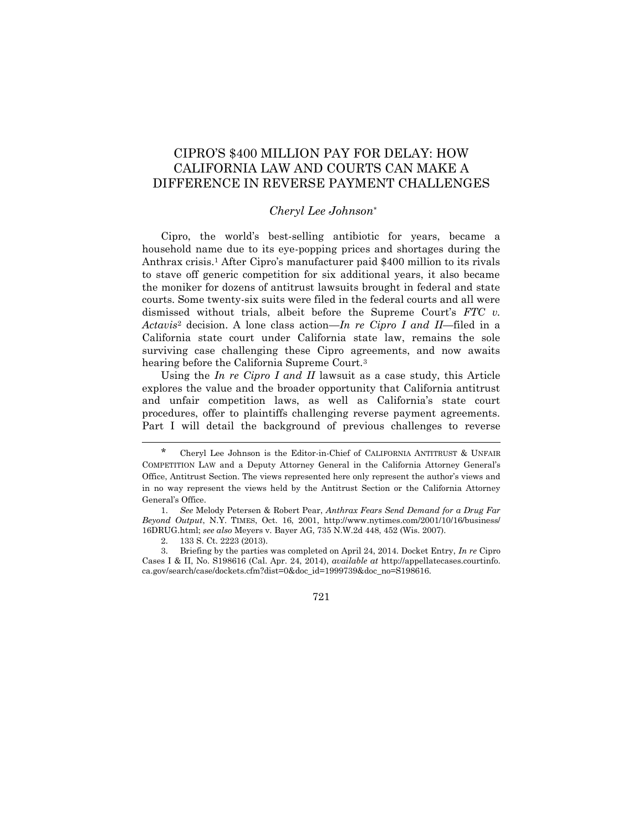# CIPRO'S \$400 MILLION PAY FOR DELAY: HOW CALIFORNIA LAW AND COURTS CAN MAKE A DIFFERENCE IN REVERSE PAYMENT CHALLENGES

## *Cheryl Lee Johnson*\*

Cipro, the world's best-selling antibiotic for years, became a household name due to its eye-popping prices and shortages during the Anthrax crisis.<sup>1</sup> After Cipro's manufacturer paid \$400 million to its rivals to stave off generic competition for six additional years, it also became the moniker for dozens of antitrust lawsuits brought in federal and state courts. Some twenty-six suits were filed in the federal courts and all were dismissed without trials, albeit before the Supreme Court's *FTC v. Actavis*<sup>2</sup> decision. A lone class action—*In re Cipro I and II*—filed in a California state court under California state law, remains the sole surviving case challenging these Cipro agreements, and now awaits hearing before the California Supreme Court.<sup>3</sup>

Using the *In re Cipro I and II* lawsuit as a case study, this Article explores the value and the broader opportunity that California antitrust and unfair competition laws, as well as California's state court procedures, offer to plaintiffs challenging reverse payment agreements. Part I will detail the background of previous challenges to reverse

2. 133 S. Ct. 2223 (2013).

<sup>\*</sup> Cheryl Lee Johnson is the Editor-in-Chief of CALIFORNIA ANTITRUST & UNFAIR COMPETITION LAW and a Deputy Attorney General in the California Attorney General's Office, Antitrust Section. The views represented here only represent the author's views and in no way represent the views held by the Antitrust Section or the California Attorney General's Office.

<sup>1.</sup> *See* Melody Petersen & Robert Pear, *Anthrax Fears Send Demand for a Drug Far Beyond Output*, N.Y. TIMES, Oct. 16, 2001, http://www.nytimes.com/2001/10/16/business/ 16DRUG.html; *see also* Meyers v. Bayer AG, 735 N.W.2d 448, 452 (Wis. 2007).

<sup>3.</sup> Briefing by the parties was completed on April 24, 2014. Docket Entry, *In re* Cipro Cases I & II, No. S198616 (Cal. Apr. 24, 2014), *available at* http://appellatecases.courtinfo. ca.gov/search/case/dockets.cfm?dist=0&doc\_id=1999739&doc\_no=S198616.

<sup>721</sup>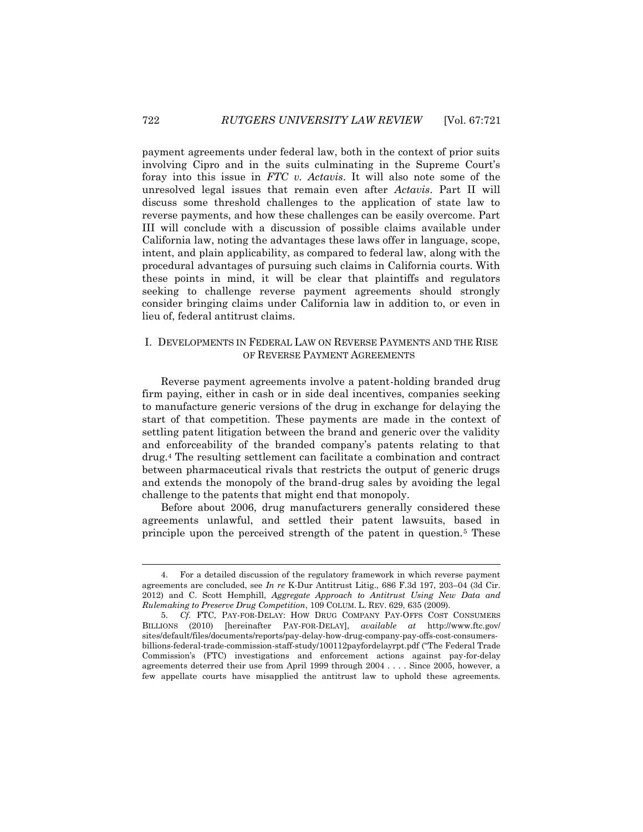payment agreements under federal law, both in the context of prior suits involving Cipro and in the suits culminating in the Supreme Court's foray into this issue in *FTC v. Actavis*. It will also note some of the unresolved legal issues that remain even after *Actavis*. Part II will discuss some threshold challenges to the application of state law to reverse payments, and how these challenges can be easily overcome. Part III will conclude with a discussion of possible claims available under California law, noting the advantages these laws offer in language, scope, intent, and plain applicability, as compared to federal law, along with the procedural advantages of pursuing such claims in California courts. With these points in mind, it will be clear that plaintiffs and regulators seeking to challenge reverse payment agreements should strongly consider bringing claims under California law in addition to, or even in lieu of, federal antitrust claims.

## I. DEVELOPMENTS IN FEDERAL LAW ON REVERSE PAYMENTS AND THE RISE OF REVERSE PAYMENT AGREEMENTS

Reverse payment agreements involve a patent-holding branded drug firm paying, either in cash or in side deal incentives, companies seeking to manufacture generic versions of the drug in exchange for delaying the start of that competition. These payments are made in the context of settling patent litigation between the brand and generic over the validity and enforceability of the branded company's patents relating to that drug.<sup>4</sup> The resulting settlement can facilitate a combination and contract between pharmaceutical rivals that restricts the output of generic drugs and extends the monopoly of the brand-drug sales by avoiding the legal challenge to the patents that might end that monopoly.

Before about 2006, drug manufacturers generally considered these agreements unlawful, and settled their patent lawsuits, based in principle upon the perceived strength of the patent in question.<sup>5</sup> These

<sup>4.</sup> For a detailed discussion of the regulatory framework in which reverse payment agreements are concluded, see *In re* K-Dur Antitrust Litig., 686 F.3d 197, 203–04 (3d Cir. 2012) and C. Scott Hemphill, *Aggregate Approach to Antitrust Using New Data and Rulemaking to Preserve Drug Competition*, 109 COLUM. L. REV. 629, 635 (2009).

<sup>5.</sup> *Cf.* FTC, PAY-FOR-DELAY: HOW DRUG COMPANY PAY-OFFS COST CONSUMERS BILLIONS (2010) [hereinafter PAY-FOR-DELAY], *available at* http://www.ftc.gov/ sites/default/files/documents/reports/pay-delay-how-drug-company-pay-offs-cost-consumersbillions-federal-trade-commission-staff-study/100112payfordelayrpt.pdf ("The Federal Trade Commission's (FTC) investigations and enforcement actions against pay-for-delay agreements deterred their use from April 1999 through 2004 . . . . Since 2005, however, a few appellate courts have misapplied the antitrust law to uphold these agreements.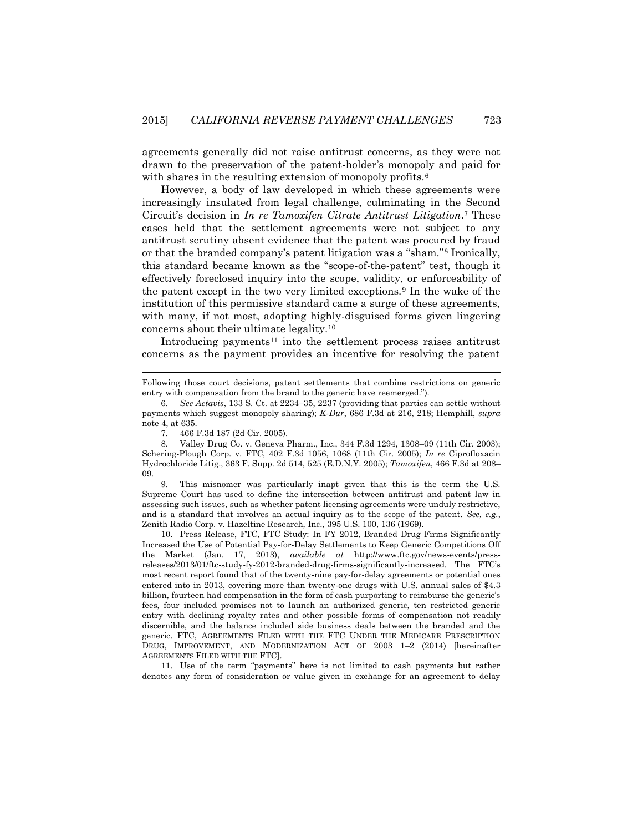agreements generally did not raise antitrust concerns, as they were not drawn to the preservation of the patent-holder's monopoly and paid for with shares in the resulting extension of monopoly profits.<sup>6</sup>

However, a body of law developed in which these agreements were increasingly insulated from legal challenge, culminating in the Second Circuit's decision in *In re Tamoxifen Citrate Antitrust Litigation*. <sup>7</sup> These cases held that the settlement agreements were not subject to any antitrust scrutiny absent evidence that the patent was procured by fraud or that the branded company's patent litigation was a "sham."<sup>8</sup> Ironically, this standard became known as the "scope-of-the-patent" test, though it effectively foreclosed inquiry into the scope, validity, or enforceability of the patent except in the two very limited exceptions.<sup>9</sup> In the wake of the institution of this permissive standard came a surge of these agreements, with many, if not most, adopting highly-disguised forms given lingering concerns about their ultimate legality.<sup>10</sup>

Introducing payments<sup>11</sup> into the settlement process raises antitrust concerns as the payment provides an incentive for resolving the patent

6. *See Actavis*, 133 S. Ct. at 2234–35, 2237 (providing that parties can settle without payments which suggest monopoly sharing); *K-Dur*, 686 F.3d at 216, 218; Hemphill, *supra* note 4, at 635.

7. 466 F.3d 187 (2d Cir. 2005).

l

9. This misnomer was particularly inapt given that this is the term the U.S. Supreme Court has used to define the intersection between antitrust and patent law in assessing such issues, such as whether patent licensing agreements were unduly restrictive, and is a standard that involves an actual inquiry as to the scope of the patent. *See, e.g.*, Zenith Radio Corp. v. Hazeltine Research, Inc., 395 U.S. 100, 136 (1969).

10. Press Release, FTC, FTC Study: In FY 2012, Branded Drug Firms Significantly Increased the Use of Potential Pay-for-Delay Settlements to Keep Generic Competitions Off the Market (Jan. 17, 2013), *available at* http://www.ftc.gov/news-events/pressreleases/2013/01/ftc-study-fy-2012-branded-drug-firms-significantly-increased. The FTC's most recent report found that of the twenty-nine pay-for-delay agreements or potential ones entered into in 2013, covering more than twenty-one drugs with U.S. annual sales of \$4.3 billion, fourteen had compensation in the form of cash purporting to reimburse the generic's fees, four included promises not to launch an authorized generic, ten restricted generic entry with declining royalty rates and other possible forms of compensation not readily discernible, and the balance included side business deals between the branded and the generic. FTC, AGREEMENTS FILED WITH THE FTC UNDER THE MEDICARE PRESCRIPTION DRUG, IMPROVEMENT, AND MODERNIZATION ACT OF 2003 1–2 (2014) [hereinafter AGREEMENTS FILED WITH THE FTC].

11. Use of the term "payments" here is not limited to cash payments but rather denotes any form of consideration or value given in exchange for an agreement to delay

Following those court decisions, patent settlements that combine restrictions on generic entry with compensation from the brand to the generic have reemerged.").

<sup>8.</sup> Valley Drug Co. v. Geneva Pharm., Inc., 344 F.3d 1294, 1308–09 (11th Cir. 2003); Schering-Plough Corp. v. FTC, 402 F.3d 1056, 1068 (11th Cir. 2005); *In re* Ciprofloxacin Hydrochloride Litig., 363 F. Supp. 2d 514, 525 (E.D.N.Y. 2005); *Tamoxifen*, 466 F.3d at 208– 09.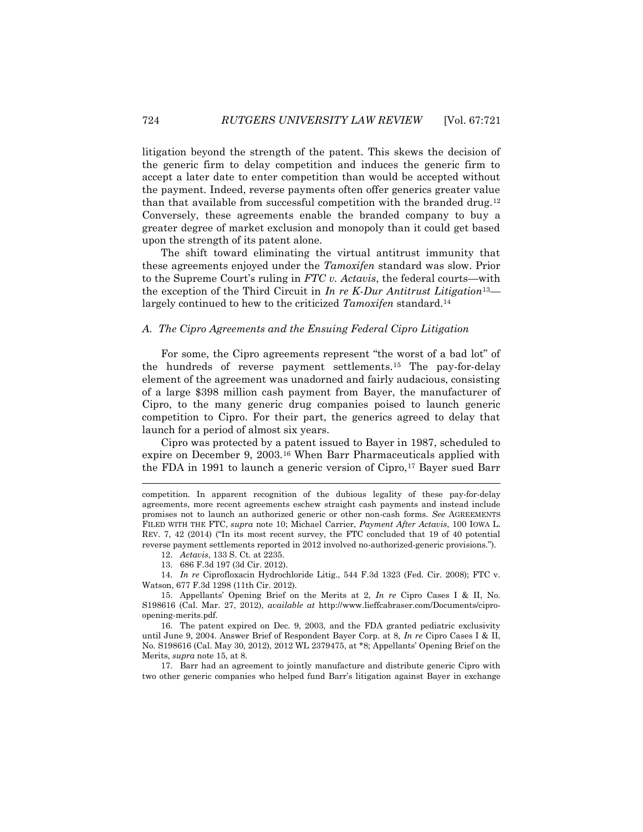litigation beyond the strength of the patent. This skews the decision of the generic firm to delay competition and induces the generic firm to accept a later date to enter competition than would be accepted without the payment. Indeed, reverse payments often offer generics greater value than that available from successful competition with the branded drug.<sup>12</sup> Conversely, these agreements enable the branded company to buy a greater degree of market exclusion and monopoly than it could get based upon the strength of its patent alone.

The shift toward eliminating the virtual antitrust immunity that these agreements enjoyed under the *Tamoxifen* standard was slow. Prior to the Supreme Court's ruling in *FTC v. Actavis*, the federal courts—with the exception of the Third Circuit in *In re K-Dur Antitrust Litigation*13 largely continued to hew to the criticized *Tamoxifen* standard.<sup>14</sup>

#### *A. The Cipro Agreements and the Ensuing Federal Cipro Litigation*

For some, the Cipro agreements represent "the worst of a bad lot" of the hundreds of reverse payment settlements.<sup>15</sup> The pay-for-delay element of the agreement was unadorned and fairly audacious, consisting of a large \$398 million cash payment from Bayer, the manufacturer of Cipro, to the many generic drug companies poised to launch generic competition to Cipro. For their part, the generics agreed to delay that launch for a period of almost six years.

Cipro was protected by a patent issued to Bayer in 1987, scheduled to expire on December 9, 2003.<sup>16</sup> When Barr Pharmaceuticals applied with the FDA in 1991 to launch a generic version of Cipro,<sup>17</sup> Bayer sued Barr

13. 686 F.3d 197 (3d Cir. 2012).

14. *In re* Ciprofloxacin Hydrochloride Litig., 544 F.3d 1323 (Fed. Cir. 2008); FTC v. Watson, 677 F.3d 1298 (11th Cir. 2012).

17. Barr had an agreement to jointly manufacture and distribute generic Cipro with two other generic companies who helped fund Barr's litigation against Bayer in exchange

l

competition. In apparent recognition of the dubious legality of these pay-for-delay agreements, more recent agreements eschew straight cash payments and instead include promises not to launch an authorized generic or other non-cash forms. *See* AGREEMENTS FILED WITH THE FTC, *supra* note 10; Michael Carrier, *Payment After Actavis*, 100 IOWA L. REV. 7, 42 (2014) ("In its most recent survey, the FTC concluded that 19 of 40 potential reverse payment settlements reported in 2012 involved no-authorized-generic provisions.").

<sup>12.</sup> *Actavis*, 133 S. Ct. at 2235.

<sup>15.</sup> Appellants' Opening Brief on the Merits at 2, *In re* Cipro Cases I & II, No. S198616 (Cal. Mar. 27, 2012), *available at* http://www.lieffcabraser.com/Documents/ciproopening-merits.pdf.

<sup>16.</sup> The patent expired on Dec. 9, 2003, and the FDA granted pediatric exclusivity until June 9, 2004. Answer Brief of Respondent Bayer Corp. at 8, *In re* Cipro Cases I & II, No. S198616 (Cal. May 30, 2012), 2012 WL 2379475, at \*8; Appellants' Opening Brief on the Merits, *supra* note 15, at 8.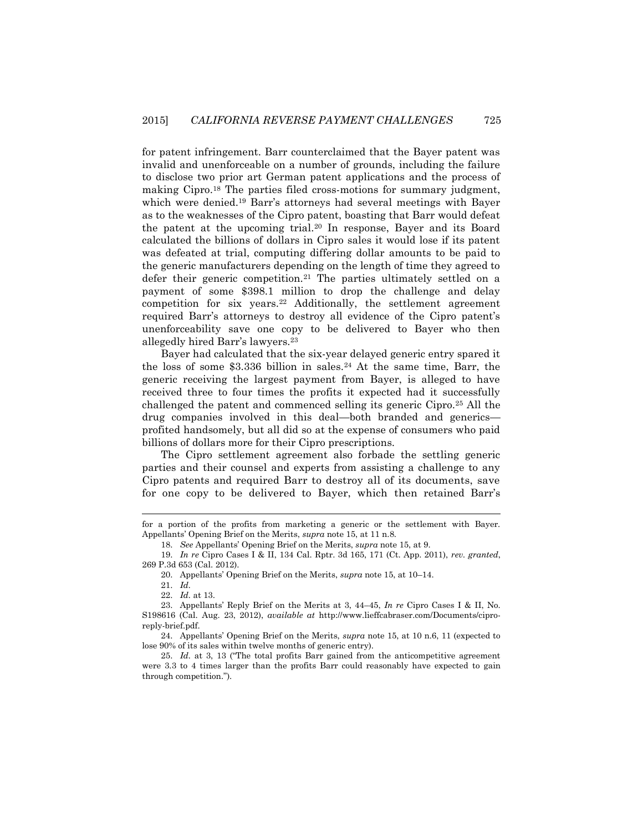for patent infringement. Barr counterclaimed that the Bayer patent was invalid and unenforceable on a number of grounds, including the failure to disclose two prior art German patent applications and the process of making Cipro.<sup>18</sup> The parties filed cross-motions for summary judgment, which were denied.<sup>19</sup> Barr's attorneys had several meetings with Bayer as to the weaknesses of the Cipro patent, boasting that Barr would defeat the patent at the upcoming trial.<sup>20</sup> In response, Bayer and its Board calculated the billions of dollars in Cipro sales it would lose if its patent was defeated at trial, computing differing dollar amounts to be paid to the generic manufacturers depending on the length of time they agreed to defer their generic competition.<sup>21</sup> The parties ultimately settled on a payment of some \$398.1 million to drop the challenge and delay competition for six years.<sup>22</sup> Additionally, the settlement agreement required Barr's attorneys to destroy all evidence of the Cipro patent's unenforceability save one copy to be delivered to Bayer who then allegedly hired Barr's lawyers.<sup>23</sup>

Bayer had calculated that the six-year delayed generic entry spared it the loss of some  $$3.336$  billion in sales.<sup>24</sup> At the same time, Barr, the generic receiving the largest payment from Bayer, is alleged to have received three to four times the profits it expected had it successfully challenged the patent and commenced selling its generic Cipro.<sup>25</sup> All the drug companies involved in this deal—both branded and generics profited handsomely, but all did so at the expense of consumers who paid billions of dollars more for their Cipro prescriptions.

The Cipro settlement agreement also forbade the settling generic parties and their counsel and experts from assisting a challenge to any Cipro patents and required Barr to destroy all of its documents, save for one copy to be delivered to Bayer, which then retained Barr's

for a portion of the profits from marketing a generic or the settlement with Bayer. Appellants' Opening Brief on the Merits, *supra* note 15, at 11 n.8.

<sup>18.</sup> *See* Appellants' Opening Brief on the Merits, *supra* note 15, at 9.

<sup>19.</sup> *In re* Cipro Cases I & II, 134 Cal. Rptr. 3d 165, 171 (Ct. App. 2011), *rev. granted*, 269 P.3d 653 (Cal. 2012).

<sup>20.</sup> Appellants' Opening Brief on the Merits, *supra* note 15, at 10–14.

<sup>21.</sup> *Id.*

<sup>22.</sup> *Id.* at 13.

<sup>23.</sup> Appellants' Reply Brief on the Merits at 3, 44–45, *In re* Cipro Cases I & II, No. S198616 (Cal. Aug. 23, 2012), *available at* http://www.lieffcabraser.com/Documents/ciproreply-brief.pdf.

<sup>24.</sup> Appellants' Opening Brief on the Merits, *supra* note 15, at 10 n.6, 11 (expected to lose 90% of its sales within twelve months of generic entry).

<sup>25.</sup> *Id.* at 3, 13 ("The total profits Barr gained from the anticompetitive agreement were 3.3 to 4 times larger than the profits Barr could reasonably have expected to gain through competition.").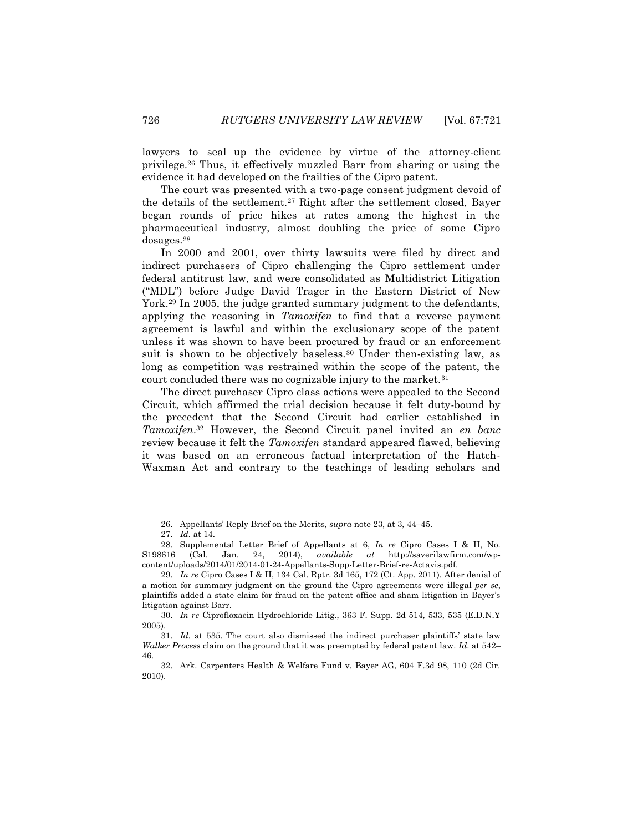lawyers to seal up the evidence by virtue of the attorney-client privilege.<sup>26</sup> Thus, it effectively muzzled Barr from sharing or using the evidence it had developed on the frailties of the Cipro patent.

The court was presented with a two-page consent judgment devoid of the details of the settlement.<sup>27</sup> Right after the settlement closed, Bayer began rounds of price hikes at rates among the highest in the pharmaceutical industry, almost doubling the price of some Cipro dosages.<sup>28</sup>

In 2000 and 2001, over thirty lawsuits were filed by direct and indirect purchasers of Cipro challenging the Cipro settlement under federal antitrust law, and were consolidated as Multidistrict Litigation ("MDL") before Judge David Trager in the Eastern District of New York.<sup>29</sup> In 2005, the judge granted summary judgment to the defendants, applying the reasoning in *Tamoxifen* to find that a reverse payment agreement is lawful and within the exclusionary scope of the patent unless it was shown to have been procured by fraud or an enforcement suit is shown to be objectively baseless.<sup>30</sup> Under then-existing law, as long as competition was restrained within the scope of the patent, the court concluded there was no cognizable injury to the market.<sup>31</sup>

The direct purchaser Cipro class actions were appealed to the Second Circuit, which affirmed the trial decision because it felt duty-bound by the precedent that the Second Circuit had earlier established in *Tamoxifen*. <sup>32</sup> However, the Second Circuit panel invited an *en banc* review because it felt the *Tamoxifen* standard appeared flawed, believing it was based on an erroneous factual interpretation of the Hatch-Waxman Act and contrary to the teachings of leading scholars and

<sup>26.</sup> Appellants' Reply Brief on the Merits, *supra* note 23, at 3, 44–45.

<sup>27.</sup> *Id.* at 14.

<sup>28.</sup> Supplemental Letter Brief of Appellants at 6, *In re* Cipro Cases I & II, No. S198616 (Cal. Jan. 24, 2014), *available at* http://saverilawfirm.com/wpcontent/uploads/2014/01/2014-01-24-Appellants-Supp-Letter-Brief-re-Actavis.pdf.

<sup>29.</sup> *In re* Cipro Cases I & II, 134 Cal. Rptr. 3d 165, 172 (Ct. App. 2011). After denial of a motion for summary judgment on the ground the Cipro agreements were illegal *per se*, plaintiffs added a state claim for fraud on the patent office and sham litigation in Bayer's litigation against Barr.

<sup>30.</sup> *In re* Ciprofloxacin Hydrochloride Litig., 363 F. Supp. 2d 514, 533, 535 (E.D.N.Y 2005).

<sup>31.</sup> *Id.* at 535. The court also dismissed the indirect purchaser plaintiffs' state law *Walker Process* claim on the ground that it was preempted by federal patent law. *Id*. at 542– 46.

<sup>32.</sup> Ark. Carpenters Health & Welfare Fund v. Bayer AG, 604 F.3d 98, 110 (2d Cir. 2010).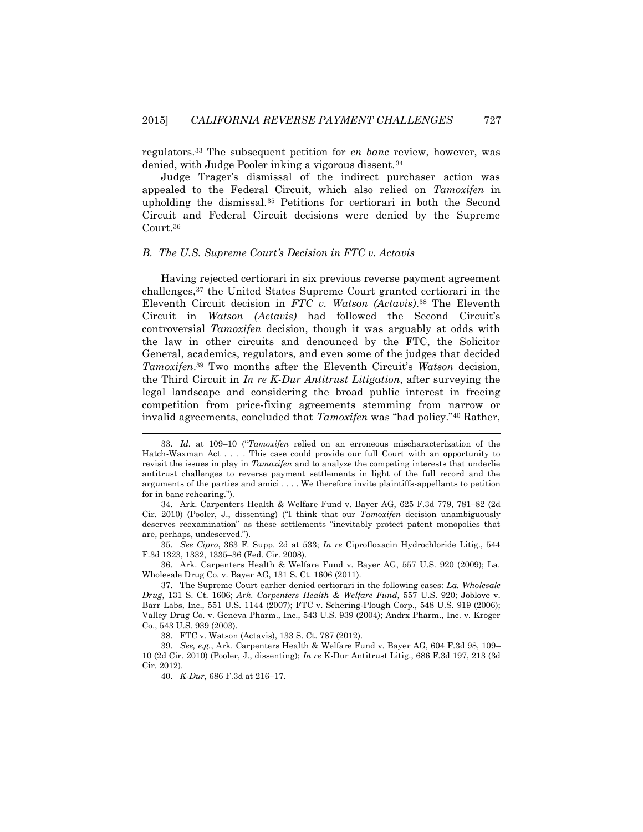regulators.<sup>33</sup> The subsequent petition for *en banc* review, however, was denied, with Judge Pooler inking a vigorous dissent.<sup>34</sup>

Judge Trager's dismissal of the indirect purchaser action was appealed to the Federal Circuit, which also relied on *Tamoxifen* in upholding the dismissal.<sup>35</sup> Petitions for certiorari in both the Second Circuit and Federal Circuit decisions were denied by the Supreme Court.<sup>36</sup>

#### *B. The U.S. Supreme Court's Decision in FTC v. Actavis*

Having rejected certiorari in six previous reverse payment agreement challenges,<sup>37</sup> the United States Supreme Court granted certiorari in the Eleventh Circuit decision in *FTC v. Watson (Actavis)*. <sup>38</sup> The Eleventh Circuit in *Watson (Actavis)* had followed the Second Circuit's controversial *Tamoxifen* decision, though it was arguably at odds with the law in other circuits and denounced by the FTC, the Solicitor General, academics, regulators, and even some of the judges that decided *Tamoxifen*. <sup>39</sup> Two months after the Eleventh Circuit's *Watson* decision, the Third Circuit in *In re K-Dur Antitrust Litigation*, after surveying the legal landscape and considering the broad public interest in freeing competition from price-fixing agreements stemming from narrow or invalid agreements, concluded that *Tamoxifen* was "bad policy."<sup>40</sup> Rather,

35. *See Cipro*, 363 F. Supp. 2d at 533; *In re* Ciprofloxacin Hydrochloride Litig., 544 F.3d 1323, 1332, 1335–36 (Fed. Cir. 2008).

36. Ark. Carpenters Health & Welfare Fund v. Bayer AG, 557 U.S. 920 (2009); La. Wholesale Drug Co. v. Bayer AG, 131 S. Ct. 1606 (2011).

38. FTC v. Watson (Actavis), 133 S. Ct. 787 (2012).

l

<sup>33.</sup> *Id.* at 109–10 ("*Tamoxifen* relied on an erroneous mischaracterization of the Hatch-Waxman Act . . . . This case could provide our full Court with an opportunity to revisit the issues in play in *Tamoxifen* and to analyze the competing interests that underlie antitrust challenges to reverse payment settlements in light of the full record and the arguments of the parties and amici . . . . We therefore invite plaintiffs-appellants to petition for in banc rehearing.").

<sup>34.</sup> Ark. Carpenters Health & Welfare Fund v. Bayer AG, 625 F.3d 779, 781–82 (2d Cir. 2010) (Pooler, J., dissenting) ("I think that our *Tamoxifen* decision unambiguously deserves reexamination" as these settlements "inevitably protect patent monopolies that are, perhaps, undeserved.").

<sup>37.</sup> The Supreme Court earlier denied certiorari in the following cases: *La. Wholesale Drug*, 131 S. Ct. 1606; *Ark. Carpenters Health & Welfare Fund*, 557 U.S. 920; Joblove v. Barr Labs, Inc., 551 U.S. 1144 (2007); FTC v. Schering-Plough Corp., 548 U.S. 919 (2006); Valley Drug Co. v. Geneva Pharm., Inc., 543 U.S. 939 (2004); Andrx Pharm., Inc. v. Kroger Co., 543 U.S. 939 (2003).

<sup>39.</sup> *See, e.g.*, Ark. Carpenters Health & Welfare Fund v. Bayer AG, 604 F.3d 98, 109– 10 (2d Cir. 2010) (Pooler, J., dissenting); *In re* K-Dur Antitrust Litig., 686 F.3d 197, 213 (3d Cir. 2012).

<sup>40.</sup> *K-Dur*, 686 F.3d at 216–17.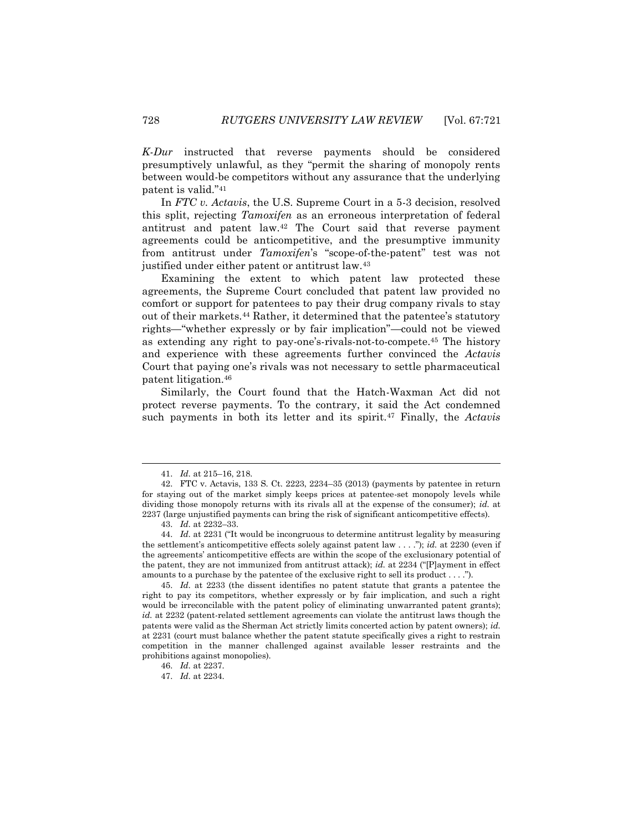*K-Dur* instructed that reverse payments should be considered presumptively unlawful, as they "permit the sharing of monopoly rents between would-be competitors without any assurance that the underlying patent is valid."<sup>41</sup>

In *FTC v. Actavis*, the U.S. Supreme Court in a 5-3 decision, resolved this split, rejecting *Tamoxifen* as an erroneous interpretation of federal antitrust and patent law.<sup>42</sup> The Court said that reverse payment agreements could be anticompetitive, and the presumptive immunity from antitrust under *Tamoxifen*'s "scope-of-the-patent" test was not justified under either patent or antitrust law.<sup>43</sup>

Examining the extent to which patent law protected these agreements, the Supreme Court concluded that patent law provided no comfort or support for patentees to pay their drug company rivals to stay out of their markets.<sup>44</sup> Rather, it determined that the patentee's statutory rights—"whether expressly or by fair implication"—could not be viewed as extending any right to pay-one's-rivals-not-to-compete.<sup>45</sup> The history and experience with these agreements further convinced the *Actavis* Court that paying one's rivals was not necessary to settle pharmaceutical patent litigation.<sup>46</sup>

Similarly, the Court found that the Hatch-Waxman Act did not protect reverse payments. To the contrary, it said the Act condemned such payments in both its letter and its spirit.<sup>47</sup> Finally, the *Actavis*

l

45. *Id.* at 2233 (the dissent identifies no patent statute that grants a patentee the right to pay its competitors, whether expressly or by fair implication, and such a right would be irreconcilable with the patent policy of eliminating unwarranted patent grants); *id.* at 2232 (patent-related settlement agreements can violate the antitrust laws though the patents were valid as the Sherman Act strictly limits concerted action by patent owners); *id.* at 2231 (court must balance whether the patent statute specifically gives a right to restrain competition in the manner challenged against available lesser restraints and the prohibitions against monopolies).

<sup>41.</sup> *Id.* at 215–16, 218.

<sup>42.</sup> FTC v. Actavis, 133 S. Ct. 2223, 2234–35 (2013) (payments by patentee in return for staying out of the market simply keeps prices at patentee-set monopoly levels while dividing those monopoly returns with its rivals all at the expense of the consumer); *id.* at 2237 (large unjustified payments can bring the risk of significant anticompetitive effects).

<sup>43.</sup> *Id.* at 2232–33.

<sup>44.</sup> *Id.* at 2231 ("It would be incongruous to determine antitrust legality by measuring the settlement's anticompetitive effects solely against patent law . . . ."); *id.* at 2230 (even if the agreements' anticompetitive effects are within the scope of the exclusionary potential of the patent, they are not immunized from antitrust attack); *id.* at 2234 ("[P]ayment in effect amounts to a purchase by the patentee of the exclusive right to sell its product . . . .").

<sup>46.</sup> *Id.* at 2237.

<sup>47.</sup> *Id.* at 2234.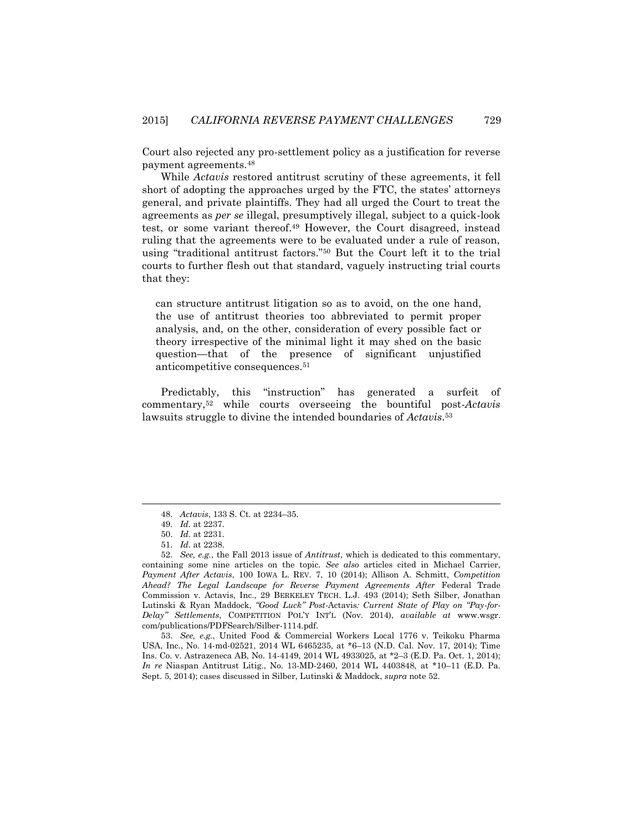Court also rejected any pro-settlement policy as a justification for reverse payment agreements.<sup>48</sup>

While *Actavis* restored antitrust scrutiny of these agreements, it fell short of adopting the approaches urged by the FTC, the states' attorneys general, and private plaintiffs. They had all urged the Court to treat the agreements as *per se* illegal, presumptively illegal, subject to a quick-look test, or some variant thereof.<sup>49</sup> However, the Court disagreed, instead ruling that the agreements were to be evaluated under a rule of reason, using "traditional antitrust factors."<sup>50</sup> But the Court left it to the trial courts to further flesh out that standard, vaguely instructing trial courts that they:

can structure antitrust litigation so as to avoid, on the one hand, the use of antitrust theories too abbreviated to permit proper analysis, and, on the other, consideration of every possible fact or theory irrespective of the minimal light it may shed on the basic question—that of the presence of significant unjustified anticompetitive consequences.<sup>51</sup>

Predictably, this "instruction" has generated a surfeit of commentary,<sup>52</sup> while courts overseeing the bountiful post-*Actavis* lawsuits struggle to divine the intended boundaries of *Actavis*. 53

<sup>48.</sup> *Actavis*, 133 S. Ct. at 2234–35.

<sup>49.</sup> *Id.* at 2237.

<sup>50.</sup> *Id.* at 2231.

<sup>51.</sup> *Id.* at 2238.

<sup>52.</sup> *See, e.g.*, the Fall 2013 issue of *Antitrust*, which is dedicated to this commentary, containing some nine articles on the topic. *See also* articles cited in Michael Carrier, *Payment After Actavis*, 100 IOWA L. REV. 7, 10 (2014); Allison A. Schmitt, *Competition Ahead? The Legal Landscape for Reverse Payment Agreements After* Federal Trade Commission v. Actavis, Inc., 29 BERKELEY TECH. L.J. 493 (2014); Seth Silber, Jonathan Lutinski & Ryan Maddock, *"Good Luck" Post-*Actavis*: Current State of Play on "Pay-for-Delay" Settlements*, COMPETITION POL'Y INT'L (Nov. 2014), *available at* www.wsgr. com/publications/PDFSearch/Silber-1114.pdf.

<sup>53.</sup> *See, e.g.*, United Food & Commercial Workers Local 1776 v. Teikoku Pharma USA, Inc., No. 14-md-02521, 2014 WL 6465235, at \*6–13 (N.D. Cal. Nov. 17, 2014); Time Ins. Co. v. Astrazeneca AB, No. 14-4149, 2014 WL 4933025, at \*2–3 (E.D. Pa. Oct. 1, 2014); *In re* Niaspan Antitrust Litig., No. 13-MD-2460, 2014 WL 4403848, at \*10–11 (E.D. Pa. Sept. 5, 2014); cases discussed in Silber, Lutinski & Maddock, *supra* note 52.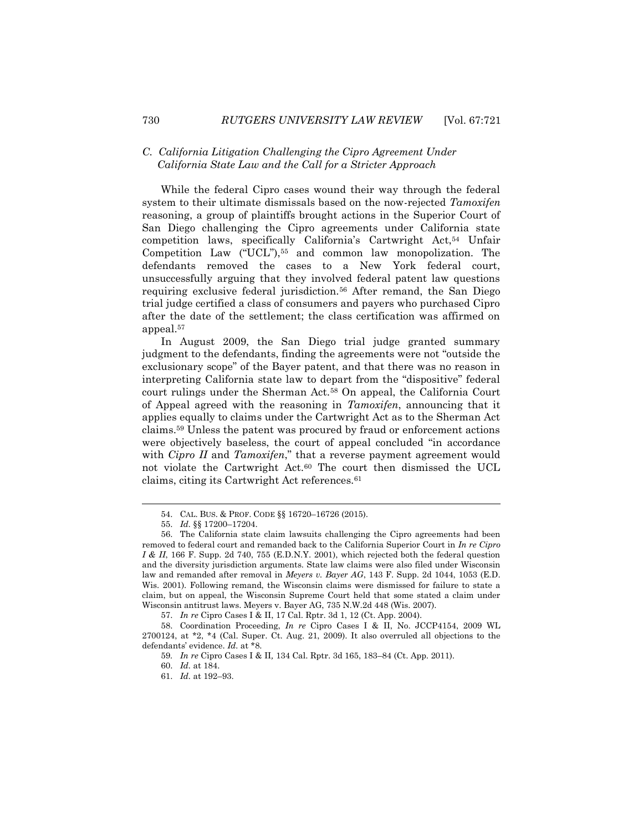### *C. California Litigation Challenging the Cipro Agreement Under California State Law and the Call for a Stricter Approach*

While the federal Cipro cases wound their way through the federal system to their ultimate dismissals based on the now-rejected *Tamoxifen* reasoning, a group of plaintiffs brought actions in the Superior Court of San Diego challenging the Cipro agreements under California state competition laws, specifically California's Cartwright Act,<sup>54</sup> Unfair Competition Law ("UCL"),<sup>55</sup> and common law monopolization. The defendants removed the cases to a New York federal court, unsuccessfully arguing that they involved federal patent law questions requiring exclusive federal jurisdiction.<sup>56</sup> After remand, the San Diego trial judge certified a class of consumers and payers who purchased Cipro after the date of the settlement; the class certification was affirmed on appeal.<sup>57</sup>

In August 2009, the San Diego trial judge granted summary judgment to the defendants, finding the agreements were not "outside the exclusionary scope" of the Bayer patent, and that there was no reason in interpreting California state law to depart from the "dispositive" federal court rulings under the Sherman Act.<sup>58</sup> On appeal, the California Court of Appeal agreed with the reasoning in *Tamoxifen*, announcing that it applies equally to claims under the Cartwright Act as to the Sherman Act claims.<sup>59</sup> Unless the patent was procured by fraud or enforcement actions were objectively baseless, the court of appeal concluded "in accordance with *Cipro II* and *Tamoxifen*," that a reverse payment agreement would not violate the Cartwright Act.<sup>60</sup> The court then dismissed the UCL claims, citing its Cartwright Act references.<sup>61</sup>

 $\overline{\phantom{a}}$ 

57. *In re* Cipro Cases I & II, 17 Cal. Rptr. 3d 1, 12 (Ct. App. 2004).

<sup>54.</sup> CAL. BUS. & PROF. CODE §§ 16720–16726 (2015).

<sup>55.</sup> *Id.* §§ 17200–17204.

<sup>56.</sup> The California state claim lawsuits challenging the Cipro agreements had been removed to federal court and remanded back to the California Superior Court in *In re Cipro I & II*, 166 F. Supp. 2d 740, 755 (E.D.N.Y. 2001), which rejected both the federal question and the diversity jurisdiction arguments. State law claims were also filed under Wisconsin law and remanded after removal in *Meyers v. Bayer AG*, 143 F. Supp. 2d 1044, 1053 (E.D. Wis. 2001). Following remand, the Wisconsin claims were dismissed for failure to state a claim, but on appeal, the Wisconsin Supreme Court held that some stated a claim under Wisconsin antitrust laws. Meyers v. Bayer AG, 735 N.W.2d 448 (Wis. 2007).

<sup>58.</sup> Coordination Proceeding, *In re* Cipro Cases I & II, No. JCCP4154, 2009 WL 2700124, at \*2, \*4 (Cal. Super. Ct. Aug. 21, 2009). It also overruled all objections to the defendants' evidence. *Id.* at \*8.

<sup>59</sup>*. In re* Cipro Cases I & II*,* 134 Cal. Rptr. 3d 165, 183–84 (Ct. App. 2011).

<sup>60.</sup> *Id.* at 184.

<sup>61.</sup> *Id.* at 192–93.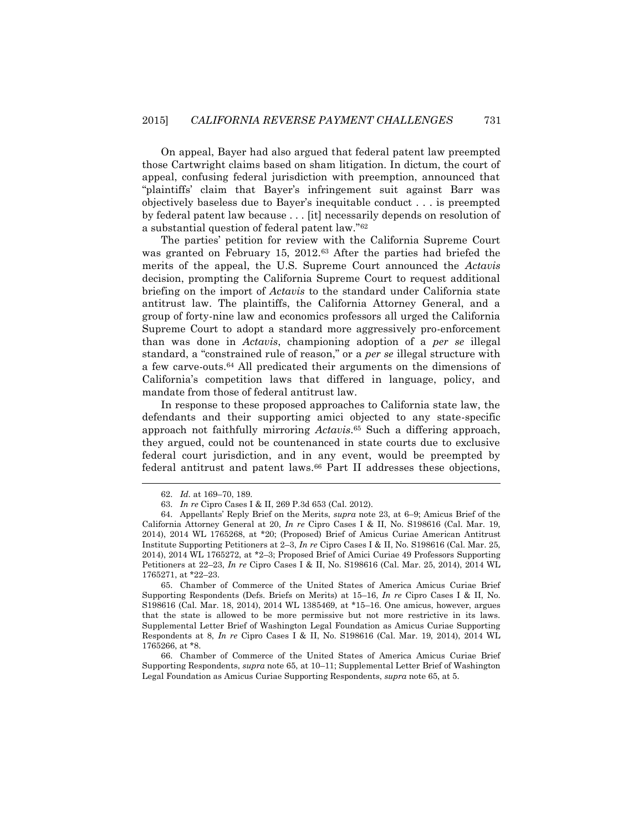On appeal, Bayer had also argued that federal patent law preempted those Cartwright claims based on sham litigation. In dictum, the court of appeal, confusing federal jurisdiction with preemption, announced that "plaintiffs' claim that Bayer's infringement suit against Barr was objectively baseless due to Bayer's inequitable conduct . . . is preempted by federal patent law because . . . [it] necessarily depends on resolution of a substantial question of federal patent law."<sup>62</sup>

The parties' petition for review with the California Supreme Court was granted on February 15, 2012.<sup>63</sup> After the parties had briefed the merits of the appeal, the U.S. Supreme Court announced the *Actavis* decision, prompting the California Supreme Court to request additional briefing on the import of *Actavis* to the standard under California state antitrust law. The plaintiffs, the California Attorney General, and a group of forty-nine law and economics professors all urged the California Supreme Court to adopt a standard more aggressively pro-enforcement than was done in *Actavis*, championing adoption of a *per se* illegal standard, a "constrained rule of reason," or a *per se* illegal structure with a few carve-outs.<sup>64</sup> All predicated their arguments on the dimensions of California's competition laws that differed in language, policy, and mandate from those of federal antitrust law.

In response to these proposed approaches to California state law, the defendants and their supporting amici objected to any state-specific approach not faithfully mirroring *Actavis*. <sup>65</sup> Such a differing approach, they argued, could not be countenanced in state courts due to exclusive federal court jurisdiction, and in any event, would be preempted by federal antitrust and patent laws.<sup>66</sup> Part II addresses these objections,

l

65. Chamber of Commerce of the United States of America Amicus Curiae Brief Supporting Respondents (Defs. Briefs on Merits) at 15–16, *In re* Cipro Cases I & II, No. S198616 (Cal. Mar. 18, 2014), 2014 WL 1385469, at \*15–16. One amicus, however, argues that the state is allowed to be more permissive but not more restrictive in its laws. Supplemental Letter Brief of Washington Legal Foundation as Amicus Curiae Supporting Respondents at 8, *In re* Cipro Cases I & II, No. S198616 (Cal. Mar. 19, 2014), 2014 WL 1765266, at \*8.

66. Chamber of Commerce of the United States of America Amicus Curiae Brief Supporting Respondents, *supra* note 65, at 10–11; Supplemental Letter Brief of Washington Legal Foundation as Amicus Curiae Supporting Respondents, *supra* note 65, at 5.

<sup>62.</sup> *Id.* at 169–70, 189.

<sup>63.</sup> *In re* Cipro Cases I & II, 269 P.3d 653 (Cal. 2012).

<sup>64.</sup> Appellants' Reply Brief on the Merits, *supra* note 23, at 6–9; Amicus Brief of the California Attorney General at 20, *In re* Cipro Cases I & II, No. S198616 (Cal. Mar. 19, 2014), 2014 WL 1765268, at \*20; (Proposed) Brief of Amicus Curiae American Antitrust Institute Supporting Petitioners at 2–3, *In re* Cipro Cases I & II, No. S198616 (Cal. Mar. 25, 2014), 2014 WL 1765272, at \*2–3; Proposed Brief of Amici Curiae 49 Professors Supporting Petitioners at 22–23, *In re* Cipro Cases I & II, No. S198616 (Cal. Mar. 25, 2014), 2014 WL 1765271, at \*22–23.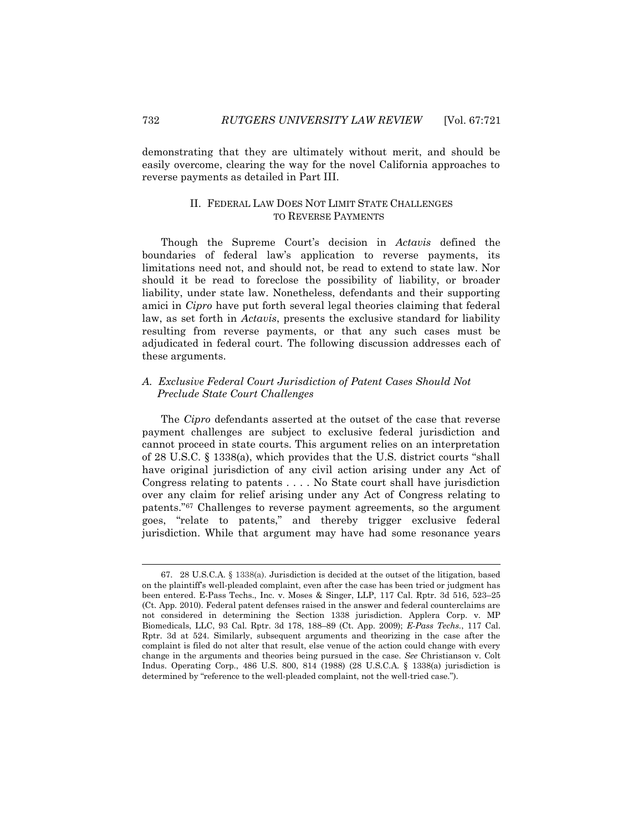demonstrating that they are ultimately without merit, and should be easily overcome, clearing the way for the novel California approaches to reverse payments as detailed in Part III.

## II. FEDERAL LAW DOES NOT LIMIT STATE CHALLENGES TO REVERSE PAYMENTS

Though the Supreme Court's decision in *Actavis* defined the boundaries of federal law's application to reverse payments, its limitations need not, and should not, be read to extend to state law. Nor should it be read to foreclose the possibility of liability, or broader liability, under state law. Nonetheless, defendants and their supporting amici in *Cipro* have put forth several legal theories claiming that federal law, as set forth in *Actavis*, presents the exclusive standard for liability resulting from reverse payments, or that any such cases must be adjudicated in federal court. The following discussion addresses each of these arguments.

## *A. Exclusive Federal Court Jurisdiction of Patent Cases Should Not Preclude State Court Challenges*

The *Cipro* defendants asserted at the outset of the case that reverse payment challenges are subject to exclusive federal jurisdiction and cannot proceed in state courts. This argument relies on an interpretation of 28 U.S.C. § 1338(a), which provides that the U.S. district courts "shall have original jurisdiction of any civil action arising under any Act of Congress relating to patents . . . . No State court shall have jurisdiction over any claim for relief arising under any Act of Congress relating to patents."<sup>67</sup> Challenges to reverse payment agreements, so the argument goes, "relate to patents," and thereby trigger exclusive federal jurisdiction. While that argument may have had some resonance years

<sup>67.</sup> 28 U.S.C.A. § 1338(a). Jurisdiction is decided at the outset of the litigation, based on the plaintiff's well-pleaded complaint, even after the case has been tried or judgment has been entered. E-Pass Techs., Inc. v. Moses & Singer, LLP, 117 Cal. Rptr. 3d 516, 523–25 (Ct. App. 2010). Federal patent defenses raised in the answer and federal counterclaims are not considered in determining the Section 1338 jurisdiction. Applera Corp. v. MP Biomedicals, LLC, 93 Cal. Rptr. 3d 178, 188–89 (Ct. App. 2009); *E-Pass Techs.*, 117 Cal. Rptr. 3d at 524. Similarly, subsequent arguments and theorizing in the case after the complaint is filed do not alter that result, else venue of the action could change with every change in the arguments and theories being pursued in the case. *See* Christianson v. Colt Indus. Operating Corp., 486 U.S. 800, 814 (1988) (28 U.S.C.A. § 1338(a) jurisdiction is determined by "reference to the well-pleaded complaint, not the well-tried case.").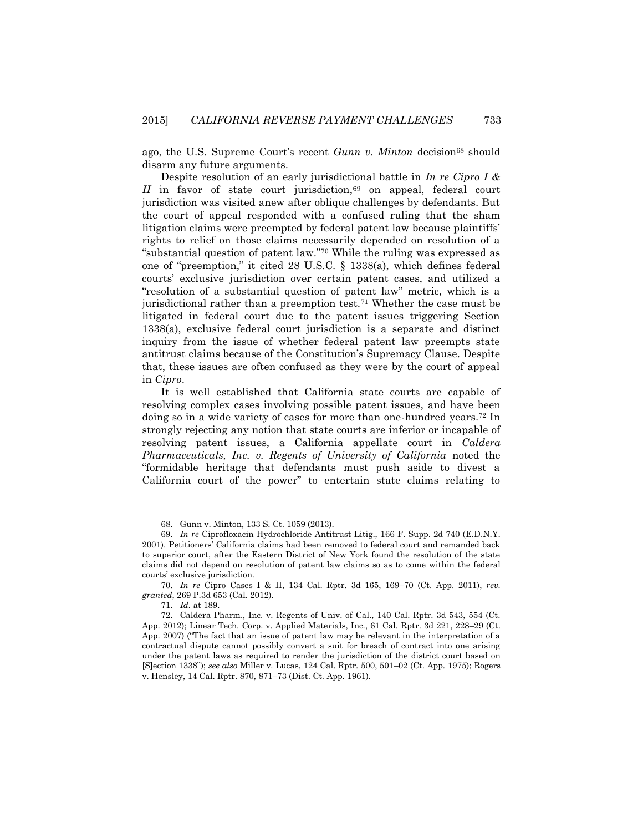ago, the U.S. Supreme Court's recent *Gunn v. Minton* decision<sup>68</sup> should disarm any future arguments.

Despite resolution of an early jurisdictional battle in *In re Cipro I & II* in favor of state court jurisdiction,<sup>69</sup> on appeal, federal court jurisdiction was visited anew after oblique challenges by defendants. But the court of appeal responded with a confused ruling that the sham litigation claims were preempted by federal patent law because plaintiffs' rights to relief on those claims necessarily depended on resolution of a "substantial question of patent law."<sup>70</sup> While the ruling was expressed as one of "preemption," it cited 28 U.S.C. § 1338(a), which defines federal courts' exclusive jurisdiction over certain patent cases, and utilized a "resolution of a substantial question of patent law" metric, which is a jurisdictional rather than a preemption test.<sup>71</sup> Whether the case must be litigated in federal court due to the patent issues triggering Section 1338(a), exclusive federal court jurisdiction is a separate and distinct inquiry from the issue of whether federal patent law preempts state antitrust claims because of the Constitution's Supremacy Clause. Despite that, these issues are often confused as they were by the court of appeal in *Cipro*.

It is well established that California state courts are capable of resolving complex cases involving possible patent issues, and have been doing so in a wide variety of cases for more than one-hundred years.<sup>72</sup> In strongly rejecting any notion that state courts are inferior or incapable of resolving patent issues, a California appellate court in *Caldera Pharmaceuticals, Inc. v. Regents of University of California* noted the "formidable heritage that defendants must push aside to divest a California court of the power" to entertain state claims relating to

<sup>68.</sup> Gunn v. Minton, 133 S. Ct. 1059 (2013).

<sup>69.</sup> *In re* Ciprofloxacin Hydrochloride Antitrust Litig., 166 F. Supp. 2d 740 (E.D.N.Y. 2001). Petitioners' California claims had been removed to federal court and remanded back to superior court, after the Eastern District of New York found the resolution of the state claims did not depend on resolution of patent law claims so as to come within the federal courts' exclusive jurisdiction.

<sup>70.</sup> *In re* Cipro Cases I & II, 134 Cal. Rptr. 3d 165, 169–70 (Ct. App. 2011), *rev. granted*, 269 P.3d 653 (Cal. 2012).

<sup>71.</sup> *Id.* at 189.

<sup>72.</sup> Caldera Pharm., Inc. v. Regents of Univ. of Cal., 140 Cal. Rptr. 3d 543, 554 (Ct. App. 2012); Linear Tech. Corp. v. Applied Materials, Inc., 61 Cal. Rptr. 3d 221, 228–29 (Ct. App. 2007) ("The fact that an issue of patent law may be relevant in the interpretation of a contractual dispute cannot possibly convert a suit for breach of contract into one arising under the patent laws as required to render the jurisdiction of the district court based on [S]ection 1338"); *see also* Miller v. Lucas, 124 Cal. Rptr. 500, 501–02 (Ct. App. 1975); Rogers v. Hensley, 14 Cal. Rptr. 870, 871–73 (Dist. Ct. App. 1961).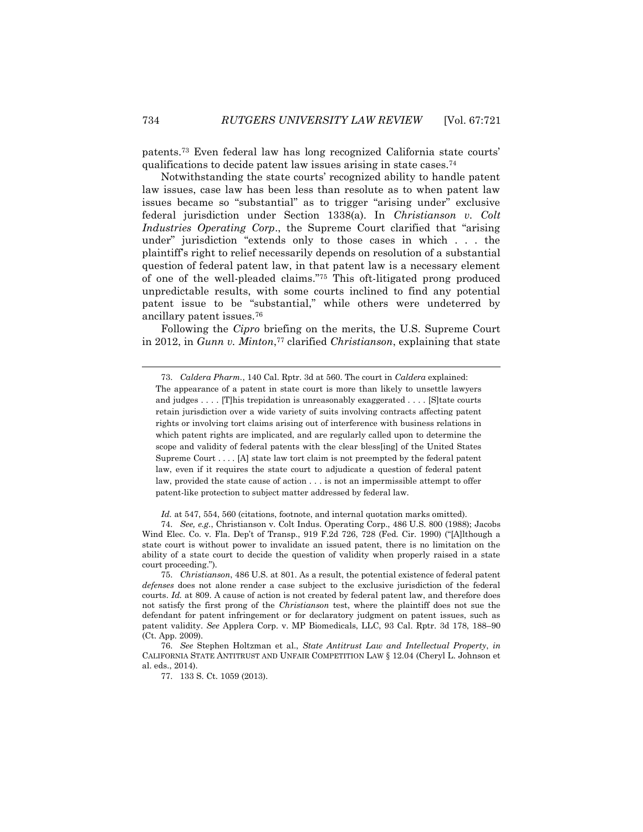patents.<sup>73</sup> Even federal law has long recognized California state courts' qualifications to decide patent law issues arising in state cases.<sup>74</sup>

Notwithstanding the state courts' recognized ability to handle patent law issues, case law has been less than resolute as to when patent law issues became so "substantial" as to trigger "arising under" exclusive federal jurisdiction under Section 1338(a). In *Christianson v. Colt Industries Operating Corp*., the Supreme Court clarified that "arising under" jurisdiction "extends only to those cases in which . . . the plaintiff's right to relief necessarily depends on resolution of a substantial question of federal patent law, in that patent law is a necessary element of one of the well-pleaded claims."<sup>75</sup> This oft-litigated prong produced unpredictable results, with some courts inclined to find any potential patent issue to be "substantial," while others were undeterred by ancillary patent issues.<sup>76</sup>

Following the *Cipro* briefing on the merits, the U.S. Supreme Court in 2012, in *Gunn v. Minton*, <sup>77</sup> clarified *Christianson*, explaining that state

*Id.* at 547, 554, 560 (citations, footnote, and internal quotation marks omitted).

l

<sup>73.</sup> *Caldera Pharm.*, 140 Cal. Rptr. 3d at 560. The court in *Caldera* explained:

The appearance of a patent in state court is more than likely to unsettle lawyers and judges . . . . [T]his trepidation is unreasonably exaggerated . . . . [S]tate courts retain jurisdiction over a wide variety of suits involving contracts affecting patent rights or involving tort claims arising out of interference with business relations in which patent rights are implicated, and are regularly called upon to determine the scope and validity of federal patents with the clear bless[ing] of the United States Supreme Court . . . . [A] state law tort claim is not preempted by the federal patent law, even if it requires the state court to adjudicate a question of federal patent law, provided the state cause of action . . . is not an impermissible attempt to offer patent-like protection to subject matter addressed by federal law.

<sup>74.</sup> *See, e.g*., Christianson v. Colt Indus. Operating Corp., 486 U.S. 800 (1988); Jacobs Wind Elec. Co. v. Fla. Dep't of Transp., 919 F.2d 726, 728 (Fed. Cir. 1990) ("[A]lthough a state court is without power to invalidate an issued patent, there is no limitation on the ability of a state court to decide the question of validity when properly raised in a state court proceeding.").

<sup>75.</sup> *Christianson*, 486 U.S. at 801. As a result, the potential existence of federal patent *defenses* does not alone render a case subject to the exclusive jurisdiction of the federal courts. *Id.* at 809. A cause of action is not created by federal patent law, and therefore does not satisfy the first prong of the *Christianson* test, where the plaintiff does not sue the defendant for patent infringement or for declaratory judgment on patent issues, such as patent validity. *See* Applera Corp. v. MP Biomedicals, LLC, 93 Cal. Rptr. 3d 178, 188–90 (Ct. App. 2009).

<sup>76.</sup> *See* Stephen Holtzman et al., *State Antitrust Law and Intellectual Property*, *in* CALIFORNIA STATE ANTITRUST AND UNFAIR COMPETITION LAW § 12.04 (Cheryl L. Johnson et al. eds., 2014).

<sup>77.</sup> 133 S. Ct. 1059 (2013).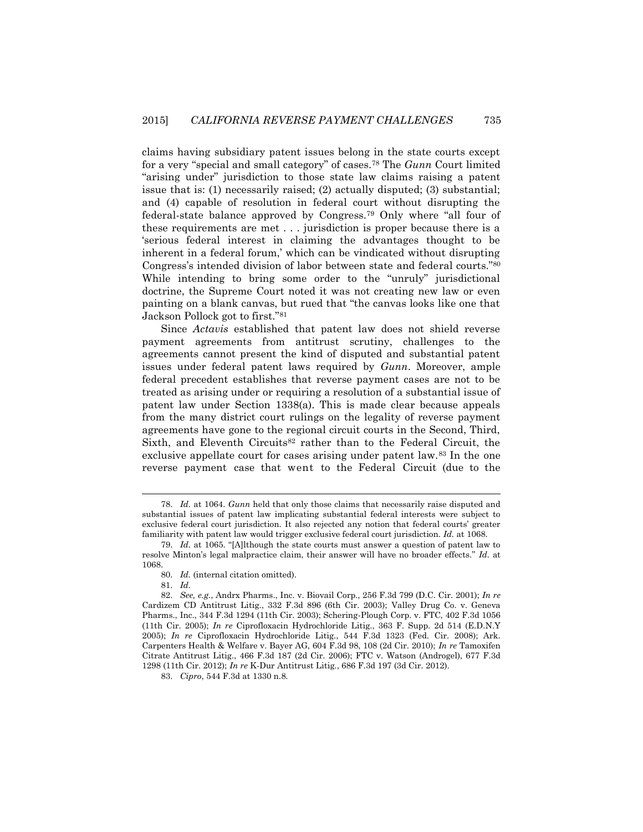claims having subsidiary patent issues belong in the state courts except for a very "special and small category" of cases.<sup>78</sup> The *Gunn* Court limited "arising under" jurisdiction to those state law claims raising a patent issue that is: (1) necessarily raised; (2) actually disputed; (3) substantial; and (4) capable of resolution in federal court without disrupting the federal-state balance approved by Congress.<sup>79</sup> Only where "all four of these requirements are met . . . jurisdiction is proper because there is a 'serious federal interest in claiming the advantages thought to be inherent in a federal forum,' which can be vindicated without disrupting Congress's intended division of labor between state and federal courts."<sup>80</sup> While intending to bring some order to the "unruly" jurisdictional doctrine, the Supreme Court noted it was not creating new law or even painting on a blank canvas, but rued that "the canvas looks like one that Jackson Pollock got to first."<sup>81</sup>

Since *Actavis* established that patent law does not shield reverse payment agreements from antitrust scrutiny, challenges to the agreements cannot present the kind of disputed and substantial patent issues under federal patent laws required by *Gunn*. Moreover, ample federal precedent establishes that reverse payment cases are not to be treated as arising under or requiring a resolution of a substantial issue of patent law under Section 1338(a). This is made clear because appeals from the many district court rulings on the legality of reverse payment agreements have gone to the regional circuit courts in the Second, Third, Sixth, and Eleventh Circuits<sup>82</sup> rather than to the Federal Circuit, the exclusive appellate court for cases arising under patent law.<sup>83</sup> In the one reverse payment case that went to the Federal Circuit (due to the

<sup>78.</sup> *Id.* at 1064. *Gunn* held that only those claims that necessarily raise disputed and substantial issues of patent law implicating substantial federal interests were subject to exclusive federal court jurisdiction. It also rejected any notion that federal courts' greater familiarity with patent law would trigger exclusive federal court jurisdiction. *Id.* at 1068.

<sup>79.</sup> *Id.* at 1065. "[A]lthough the state courts must answer a question of patent law to resolve Minton's legal malpractice claim, their answer will have no broader effects." *Id.* at 1068.

<sup>80.</sup> *Id.* (internal citation omitted).

<sup>81.</sup> *Id.*

<sup>82.</sup> *See, e.g.*, Andrx Pharms., Inc. v. Biovail Corp., 256 F.3d 799 (D.C. Cir. 2001); *In re* Cardizem CD Antitrust Litig., 332 F.3d 896 (6th Cir. 2003); Valley Drug Co. v. Geneva Pharms., Inc., 344 F.3d 1294 (11th Cir. 2003); Schering-Plough Corp. v. FTC, 402 F.3d 1056 (11th Cir. 2005); *In re* Ciprofloxacin Hydrochloride Litig., 363 F. Supp. 2d 514 (E.D.N.Y 2005); *In re* Ciprofloxacin Hydrochloride Litig., 544 F.3d 1323 (Fed. Cir. 2008); Ark. Carpenters Health & Welfare v. Bayer AG, 604 F.3d 98, 108 (2d Cir. 2010); *In re* Tamoxifen Citrate Antitrust Litig., 466 F.3d 187 (2d Cir. 2006); FTC v. Watson (Androgel), 677 F.3d 1298 (11th Cir. 2012); *In re* K-Dur Antitrust Litig., 686 F.3d 197 (3d Cir. 2012).

<sup>83.</sup> *Cipro*, 544 F.3d at 1330 n.8.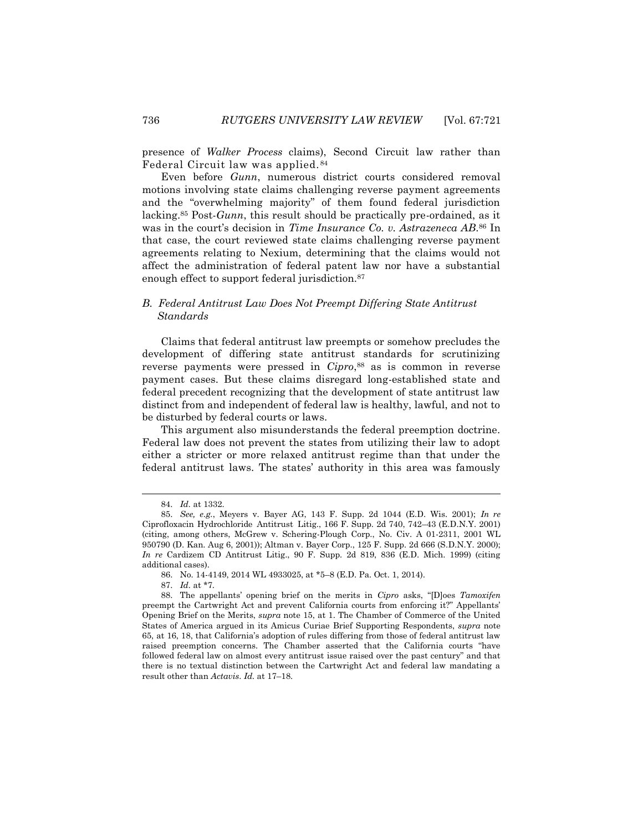presence of *Walker Process* claims), Second Circuit law rather than Federal Circuit law was applied. <sup>84</sup>

Even before *Gunn*, numerous district courts considered removal motions involving state claims challenging reverse payment agreements and the "overwhelming majority" of them found federal jurisdiction lacking.<sup>85</sup> Post-*Gunn*, this result should be practically pre-ordained, as it was in the court's decision in *Time Insurance Co. v. Astrazeneca AB*. <sup>86</sup> In that case, the court reviewed state claims challenging reverse payment agreements relating to Nexium, determining that the claims would not affect the administration of federal patent law nor have a substantial enough effect to support federal jurisdiction.<sup>87</sup>

#### *B. Federal Antitrust Law Does Not Preempt Differing State Antitrust Standards*

Claims that federal antitrust law preempts or somehow precludes the development of differing state antitrust standards for scrutinizing reverse payments were pressed in *Cipro*, <sup>88</sup> as is common in reverse payment cases. But these claims disregard long-established state and federal precedent recognizing that the development of state antitrust law distinct from and independent of federal law is healthy, lawful, and not to be disturbed by federal courts or laws.

This argument also misunderstands the federal preemption doctrine. Federal law does not prevent the states from utilizing their law to adopt either a stricter or more relaxed antitrust regime than that under the federal antitrust laws. The states' authority in this area was famously

<sup>84.</sup> *Id.* at 1332.

<sup>85.</sup> *See, e.g.*, Meyers v. Bayer AG, 143 F. Supp. 2d 1044 (E.D. Wis. 2001); *In re* Ciprofloxacin Hydrochloride Antitrust Litig., 166 F. Supp. 2d 740, 742–43 (E.D.N.Y. 2001) (citing, among others, McGrew v. Schering-Plough Corp., No. Civ. A 01-2311, 2001 WL 950790 (D. Kan. Aug 6, 2001)); Altman v. Bayer Corp., 125 F. Supp. 2d 666 (S.D.N.Y. 2000); *In re* Cardizem CD Antitrust Litig., 90 F. Supp. 2d 819, 836 (E.D. Mich. 1999) (citing additional cases).

<sup>86.</sup> No. 14-4149, 2014 WL 4933025, at \*5–8 (E.D. Pa. Oct. 1, 2014).

<sup>87.</sup> *Id.* at \*7.

<sup>88.</sup> The appellants' opening brief on the merits in *Cipro* asks, "[D]oes *Tamoxifen* preempt the Cartwright Act and prevent California courts from enforcing it?" Appellants' Opening Brief on the Merits, *supra* note 15, at 1. The Chamber of Commerce of the United States of America argued in its Amicus Curiae Brief Supporting Respondents, *supra* note 65, at 16, 18, that California's adoption of rules differing from those of federal antitrust law raised preemption concerns. The Chamber asserted that the California courts "have followed federal law on almost every antitrust issue raised over the past century" and that there is no textual distinction between the Cartwright Act and federal law mandating a result other than *Actavis*. *Id.* at 17–18.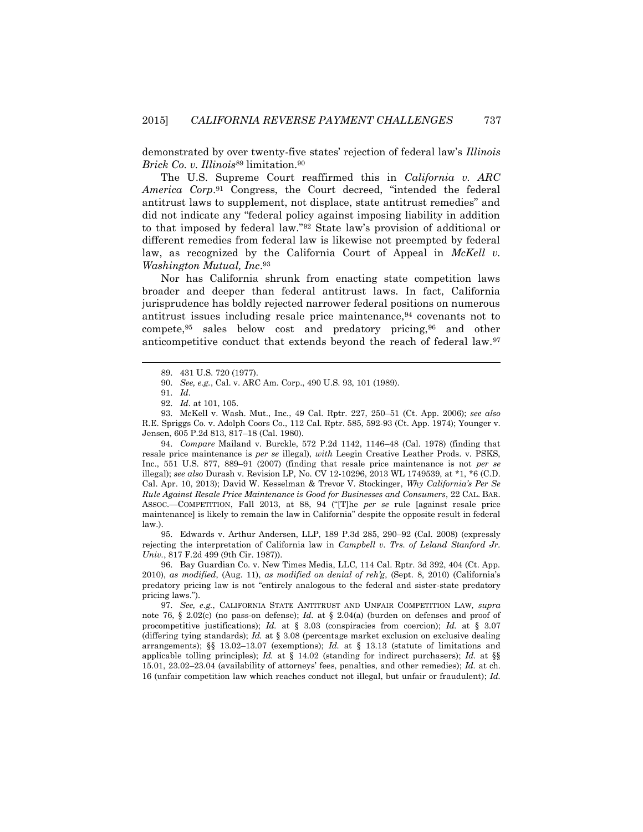demonstrated by over twenty-five states' rejection of federal law's *Illinois Brick Co. v. Illinois*<sup>89</sup> limitation.<sup>90</sup>

The U.S. Supreme Court reaffirmed this in *California v. ARC America Corp*. <sup>91</sup> Congress, the Court decreed, "intended the federal antitrust laws to supplement, not displace, state antitrust remedies" and did not indicate any "federal policy against imposing liability in addition to that imposed by federal law."<sup>92</sup> State law's provision of additional or different remedies from federal law is likewise not preempted by federal law, as recognized by the California Court of Appeal in *McKell v*. *Washington Mutual, Inc*. 93

Nor has California shrunk from enacting state competition laws broader and deeper than federal antitrust laws. In fact, California jurisprudence has boldly rejected narrower federal positions on numerous antitrust issues including resale price maintenance, 94 covenants not to compete,<sup>95</sup> sales below cost and predatory pricing,<sup>96</sup> and other anticompetitive conduct that extends beyond the reach of federal law.<sup>97</sup>

 $\overline{\phantom{a}}$ 

93. McKell v. Wash. Mut., Inc., 49 Cal. Rptr. 227, 250–51 (Ct. App. 2006); *see also* R.E. Spriggs Co. v. Adolph Coors Co., 112 Cal. Rptr. 585, 592-93 (Ct. App. 1974); Younger v. Jensen, 605 P.2d 813, 817–18 (Cal. 1980).

94. *Compare* Mailand v. Burckle, 572 P.2d 1142, 1146–48 (Cal. 1978) (finding that resale price maintenance is *per se* illegal), *with* Leegin Creative Leather Prods. v. PSKS, Inc., 551 U.S. 877, 889–91 (2007) (finding that resale price maintenance is not *per se* illegal); *see also* Durash v. Revision LP*,* No. CV 12-10296, 2013 WL 1749539, at \*1, \*6 (C.D. Cal. Apr. 10, 2013); David W. Kesselman & Trevor V. Stockinger, *Why California's Per Se Rule Against Resale Price Maintenance is Good for Businesses and Consumers*, 22 CAL. BAR. ASSOC.—COMPETITION, Fall 2013, at 88, 94 ("[T]he *per se* rule [against resale price maintenance] is likely to remain the law in California" despite the opposite result in federal law.).

95. Edwards v. Arthur Andersen, LLP, 189 P.3d 285, 290–92 (Cal. 2008) (expressly rejecting the interpretation of California law in *Campbell v. Trs. of Leland Stanford Jr. Univ.*, 817 F.2d 499 (9th Cir. 1987)).

96. Bay Guardian Co. v. New Times Media, LLC, 114 Cal. Rptr. 3d 392, 404 (Ct. App. 2010), *as modified*, (Aug. 11), *as modified on denial of reh'g*, (Sept. 8, 2010) (California's predatory pricing law is not "entirely analogous to the federal and sister-state predatory pricing laws.").

97. *See, e.g.*, CALIFORNIA STATE ANTITRUST AND UNFAIR COMPETITION LAW*, supra*  note 76, § 2.02(c) (no pass-on defense); *Id.* at § 2.04(a) (burden on defenses and proof of procompetitive justifications); *Id.* at § 3.03 (conspiracies from coercion); *Id.* at § 3.07 (differing tying standards); *Id.* at § 3.08 (percentage market exclusion on exclusive dealing arrangements); §§ 13.02–13.07 (exemptions); *Id.* at § 13.13 (statute of limitations and applicable tolling principles); *Id.* at § 14.02 (standing for indirect purchasers); *Id.* at §§ 15.01, 23.02–23.04 (availability of attorneys' fees, penalties, and other remedies); *Id.* at ch. 16 (unfair competition law which reaches conduct not illegal, but unfair or fraudulent); *Id.* 

<sup>89.</sup> 431 U.S. 720 (1977).

<sup>90.</sup> *See, e.g.*, Cal. v. ARC Am. Corp., 490 U.S. 93, 101 (1989).

<sup>91.</sup> *Id.*

<sup>92.</sup> *Id.* at 101, 105.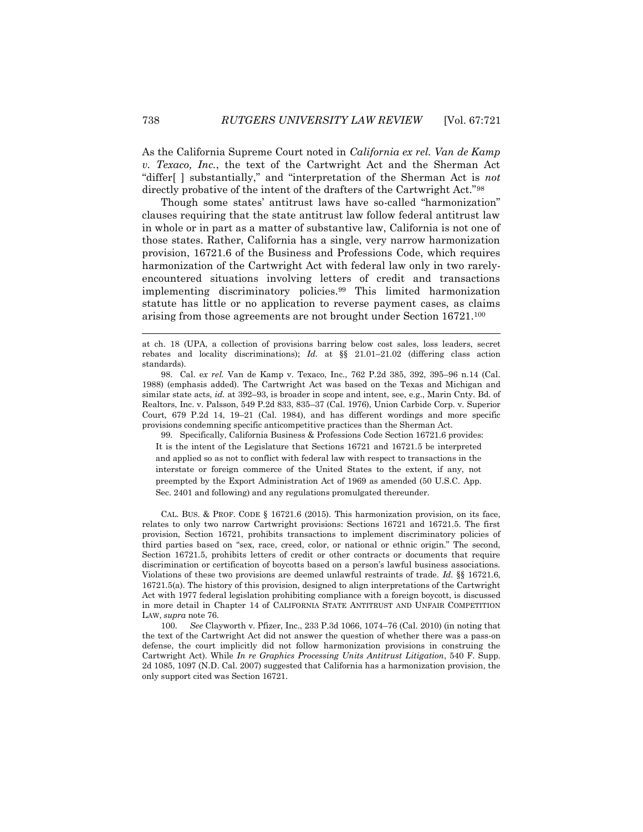As the California Supreme Court noted in *California ex rel. Van de Kamp v. Texaco, Inc.*, the text of the Cartwright Act and the Sherman Act "differ[ ] substantially," and "interpretation of the Sherman Act is *not*  directly probative of the intent of the drafters of the Cartwright Act."<sup>98</sup>

Though some states' antitrust laws have so-called "harmonization" clauses requiring that the state antitrust law follow federal antitrust law in whole or in part as a matter of substantive law, California is not one of those states. Rather, California has a single, very narrow harmonization provision, 16721.6 of the Business and Professions Code, which requires harmonization of the Cartwright Act with federal law only in two rarelyencountered situations involving letters of credit and transactions implementing discriminatory policies.<sup>99</sup> This limited harmonization statute has little or no application to reverse payment cases, as claims arising from those agreements are not brought under Section 16721.<sup>100</sup>

at ch. 18 (UPA, a collection of provisions barring below cost sales, loss leaders, secret rebates and locality discriminations); *Id.* at §§ 21.01–21.02 (differing class action standards).

98. Cal. e*x rel.* Van de Kamp v. Texaco, Inc., 762 P.2d 385, 392, 395–96 n.14 (Cal. 1988) (emphasis added). The Cartwright Act was based on the Texas and Michigan and similar state acts, *id.* at 392–93, is broader in scope and intent, see, e.g., Marin Cnty. Bd. of Realtors, Inc. v. Palsson, 549 P.2d 833, 835–37 (Cal. 1976), Union Carbide Corp. v. Superior Court*,* 679 P.2d 14, 19–21 (Cal. 1984), and has different wordings and more specific provisions condemning specific anticompetitive practices than the Sherman Act.

99. Specifically, California Business & Professions Code Section 16721.6 provides: It is the intent of the Legislature that Sections 16721 and 16721.5 be interpreted and applied so as not to conflict with federal law with respect to transactions in the interstate or foreign commerce of the United States to the extent, if any, not preempted by the Export Administration Act of 1969 as amended (50 U.S.C. App. Sec. 2401 and following) and any regulations promulgated thereunder.

CAL. BUS. & PROF. CODE § 16721.6 (2015). This harmonization provision, on its face, relates to only two narrow Cartwright provisions: Sections 16721 and 16721.5. The first provision, Section 16721, prohibits transactions to implement discriminatory policies of third parties based on "sex, race, creed, color, or national or ethnic origin." The second, Section 16721.5, prohibits letters of credit or other contracts or documents that require discrimination or certification of boycotts based on a person's lawful business associations. Violations of these two provisions are deemed unlawful restraints of trade. *Id.* §§ 16721.6, 16721.5(a). The history of this provision, designed to align interpretations of the Cartwright Act with 1977 federal legislation prohibiting compliance with a foreign boycott, is discussed in more detail in Chapter 14 of CALIFORNIA STATE ANTITRUST AND UNFAIR COMPETITION LAW, *supra* note 76.

100. *See* Clayworth v. Pfizer, Inc., 233 P.3d 1066, 1074–76 (Cal. 2010) (in noting that the text of the Cartwright Act did not answer the question of whether there was a pass-on defense, the court implicitly did not follow harmonization provisions in construing the Cartwright Act). While *In re Graphics Processing Units Antitrust Litigation*, 540 F. Supp. 2d 1085, 1097 (N.D. Cal. 2007) suggested that California has a harmonization provision, the only support cited was Section 16721.

l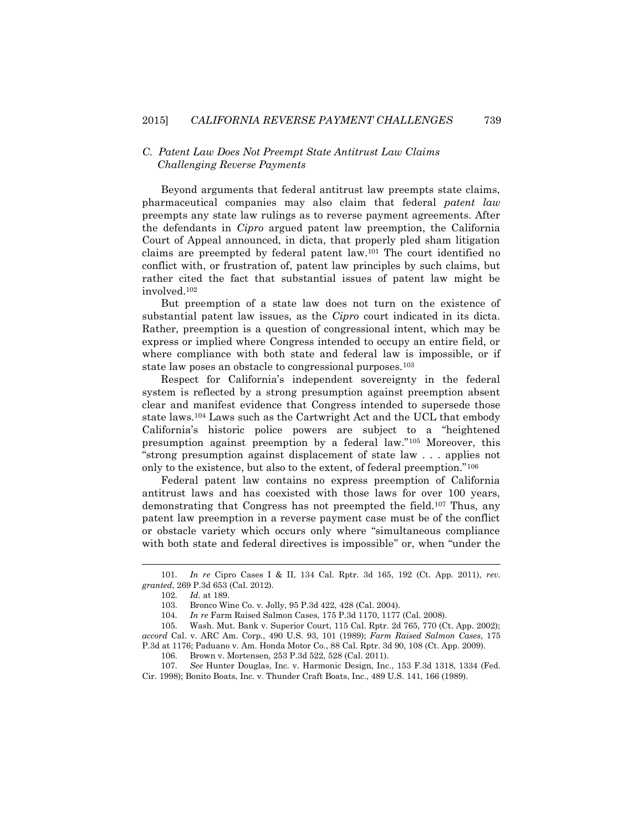#### *C. Patent Law Does Not Preempt State Antitrust Law Claims Challenging Reverse Payments*

Beyond arguments that federal antitrust law preempts state claims, pharmaceutical companies may also claim that federal *patent law*  preempts any state law rulings as to reverse payment agreements. After the defendants in *Cipro* argued patent law preemption, the California Court of Appeal announced, in dicta, that properly pled sham litigation claims are preempted by federal patent law.<sup>101</sup> The court identified no conflict with, or frustration of, patent law principles by such claims, but rather cited the fact that substantial issues of patent law might be involved.<sup>102</sup>

But preemption of a state law does not turn on the existence of substantial patent law issues, as the *Cipro* court indicated in its dicta. Rather, preemption is a question of congressional intent, which may be express or implied where Congress intended to occupy an entire field, or where compliance with both state and federal law is impossible, or if state law poses an obstacle to congressional purposes.<sup>103</sup>

Respect for California's independent sovereignty in the federal system is reflected by a strong presumption against preemption absent clear and manifest evidence that Congress intended to supersede those state laws.<sup>104</sup> Laws such as the Cartwright Act and the UCL that embody California's historic police powers are subject to a "heightened presumption against preemption by a federal law."<sup>105</sup> Moreover, this "strong presumption against displacement of state law . . . applies not only to the existence, but also to the extent, of federal preemption."<sup>106</sup>

Federal patent law contains no express preemption of California antitrust laws and has coexisted with those laws for over 100 years, demonstrating that Congress has not preempted the field.<sup>107</sup> Thus, any patent law preemption in a reverse payment case must be of the conflict or obstacle variety which occurs only where "simultaneous compliance with both state and federal directives is impossible" or, when "under the

<sup>101.</sup> *In re* Cipro Cases I & II, 134 Cal. Rptr. 3d 165, 192 (Ct. App. 2011), *rev. granted*, 269 P.3d 653 (Cal. 2012).

<sup>102.</sup> *Id.* at 189.

<sup>103.</sup> Bronco Wine Co. v. Jolly, 95 P.3d 422, 428 (Cal. 2004).

<sup>104.</sup> *In re* Farm Raised Salmon Cases, 175 P.3d 1170, 1177 (Cal. 2008).

<sup>105.</sup> Wash. Mut. Bank v. Superior Court, 115 Cal. Rptr. 2d 765, 770 (Ct. App. 2002); *accord* Cal. v. ARC Am. Corp., 490 U.S. 93, 101 (1989); *Farm Raised Salmon Cases*, 175 P.3d at 1176; Paduano v. Am. Honda Motor Co., 88 Cal. Rptr. 3d 90, 108 (Ct. App. 2009).

<sup>106.</sup> Brown v. Mortensen, 253 P.3d 522, 528 (Cal. 2011).

<sup>107.</sup> *See* Hunter Douglas, Inc. v. Harmonic Design, Inc., 153 F.3d 1318, 1334 (Fed. Cir. 1998); Bonito Boats, Inc. v. Thunder Craft Boats, Inc., 489 U.S. 141, 166 (1989).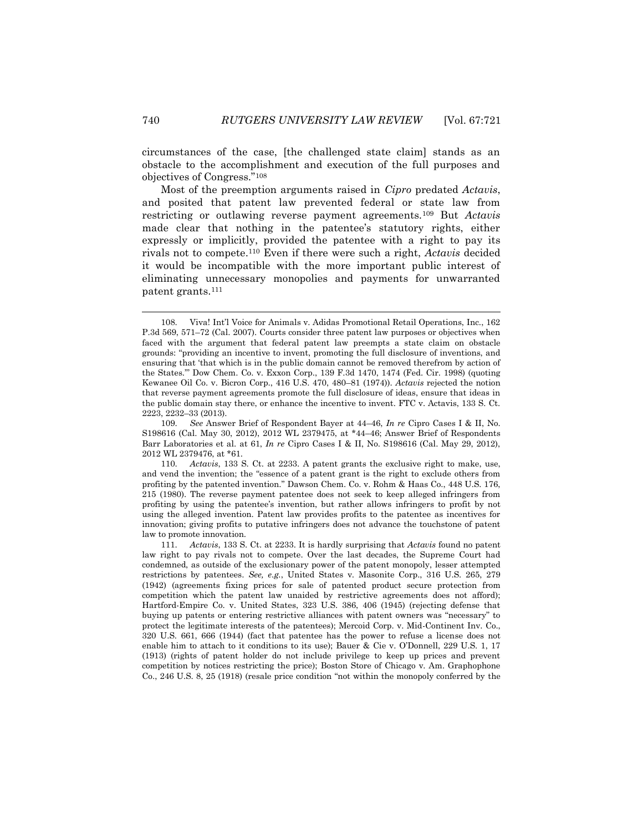circumstances of the case, [the challenged state claim] stands as an obstacle to the accomplishment and execution of the full purposes and objectives of Congress."<sup>108</sup>

Most of the preemption arguments raised in *Cipro* predated *Actavis*, and posited that patent law prevented federal or state law from restricting or outlawing reverse payment agreements.<sup>109</sup> But *Actavis* made clear that nothing in the patentee's statutory rights, either expressly or implicitly, provided the patentee with a right to pay its rivals not to compete.<sup>110</sup> Even if there were such a right, *Actavis* decided it would be incompatible with the more important public interest of eliminating unnecessary monopolies and payments for unwarranted patent grants.<sup>111</sup>

<sup>108.</sup> Viva! Int'l Voice for Animals v. Adidas Promotional Retail Operations, Inc., 162 P.3d 569, 571–72 (Cal. 2007). Courts consider three patent law purposes or objectives when faced with the argument that federal patent law preempts a state claim on obstacle grounds: "providing an incentive to invent, promoting the full disclosure of inventions, and ensuring that 'that which is in the public domain cannot be removed therefrom by action of the States.'" Dow Chem. Co. v. Exxon Corp., 139 F.3d 1470, 1474 (Fed. Cir. 1998) (quoting Kewanee Oil Co. v. Bicron Corp., 416 U.S. 470, 480–81 (1974)). *Actavis* rejected the notion that reverse payment agreements promote the full disclosure of ideas, ensure that ideas in the public domain stay there, or enhance the incentive to invent. FTC v. Actavis, 133 S. Ct. 2223, 2232–33 (2013).

<sup>109.</sup> *See* Answer Brief of Respondent Bayer at 44–46, *In re* Cipro Cases I & II, No. S198616 (Cal. May 30, 2012), 2012 WL 2379475, at \*44–46; Answer Brief of Respondents Barr Laboratories et al. at 61, *In re* Cipro Cases I & II, No. S198616 (Cal. May 29, 2012), 2012 WL 2379476, at \*61.

<sup>110.</sup> *Actavis*, 133 S. Ct. at 2233. A patent grants the exclusive right to make, use, and vend the invention; the "essence of a patent grant is the right to exclude others from profiting by the patented invention." Dawson Chem. Co. v. Rohm & Haas Co., 448 U.S. 176, 215 (1980). The reverse payment patentee does not seek to keep alleged infringers from profiting by using the patentee's invention, but rather allows infringers to profit by not using the alleged invention. Patent law provides profits to the patentee as incentives for innovation; giving profits to putative infringers does not advance the touchstone of patent law to promote innovation.

<sup>111.</sup> *Actavis*, 133 S. Ct. at 2233. It is hardly surprising that *Actavis* found no patent law right to pay rivals not to compete. Over the last decades, the Supreme Court had condemned, as outside of the exclusionary power of the patent monopoly, lesser attempted restrictions by patentees. *See, e.g.*, United States v. Masonite Corp., 316 U.S. 265, 279 (1942) (agreements fixing prices for sale of patented product secure protection from competition which the patent law unaided by restrictive agreements does not afford); Hartford-Empire Co. v. United States, 323 U.S. 386, 406 (1945) (rejecting defense that buying up patents or entering restrictive alliances with patent owners was "necessary" to protect the legitimate interests of the patentees); Mercoid Corp. v. Mid-Continent Inv. Co., 320 U.S. 661, 666 (1944) (fact that patentee has the power to refuse a license does not enable him to attach to it conditions to its use); Bauer & Cie v. O'Donnell, 229 U.S. 1, 17 (1913) (rights of patent holder do not include privilege to keep up prices and prevent competition by notices restricting the price); Boston Store of Chicago v. Am. Graphophone Co., 246 U.S. 8, 25 (1918) (resale price condition "not within the monopoly conferred by the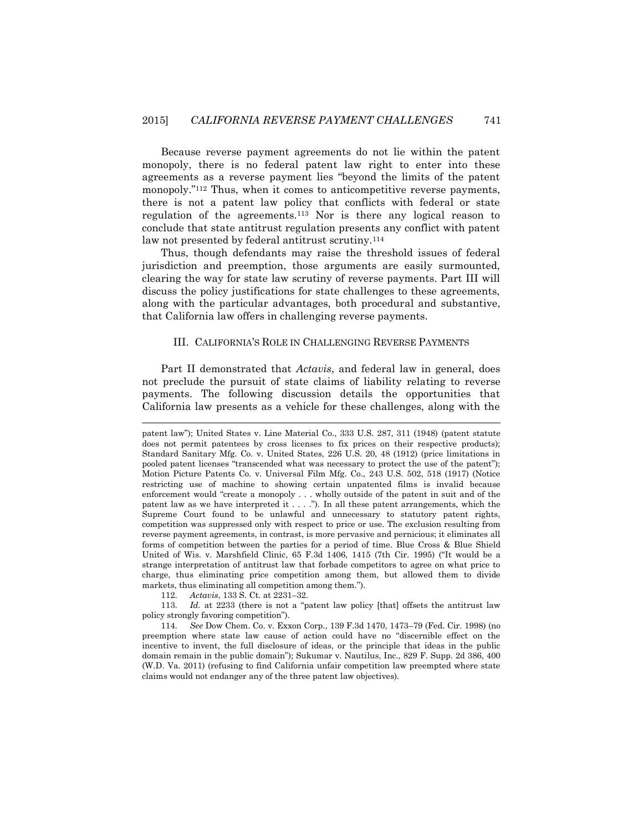Because reverse payment agreements do not lie within the patent monopoly, there is no federal patent law right to enter into these agreements as a reverse payment lies "beyond the limits of the patent monopoly."<sup>112</sup> Thus, when it comes to anticompetitive reverse payments, there is not a patent law policy that conflicts with federal or state regulation of the agreements.<sup>113</sup> Nor is there any logical reason to conclude that state antitrust regulation presents any conflict with patent law not presented by federal antitrust scrutiny.<sup>114</sup>

Thus, though defendants may raise the threshold issues of federal jurisdiction and preemption, those arguments are easily surmounted, clearing the way for state law scrutiny of reverse payments. Part III will discuss the policy justifications for state challenges to these agreements, along with the particular advantages, both procedural and substantive, that California law offers in challenging reverse payments.

#### III. CALIFORNIA'S ROLE IN CHALLENGING REVERSE PAYMENTS

Part II demonstrated that *Actavis*, and federal law in general, does not preclude the pursuit of state claims of liability relating to reverse payments. The following discussion details the opportunities that California law presents as a vehicle for these challenges, along with the

112. *Actavis*, 133 S. Ct. at 2231–32.

 $\overline{\phantom{a}}$ 

113. *Id.* at 2233 (there is not a "patent law policy [that] offsets the antitrust law policy strongly favoring competition").

114. *See* Dow Chem. Co. v. Exxon Corp., 139 F.3d 1470, 1473–79 (Fed. Cir. 1998) (no preemption where state law cause of action could have no "discernible effect on the incentive to invent, the full disclosure of ideas, or the principle that ideas in the public domain remain in the public domain"); Sukumar v. Nautilus, Inc., 829 F. Supp. 2d 386, 400 (W.D. Va. 2011) (refusing to find California unfair competition law preempted where state claims would not endanger any of the three patent law objectives).

patent law"); United States v. Line Material Co., 333 U.S. 287, 311 (1948) (patent statute does not permit patentees by cross licenses to fix prices on their respective products); Standard Sanitary Mfg. Co. v. United States, 226 U.S. 20, 48 (1912) (price limitations in pooled patent licenses "transcended what was necessary to protect the use of the patent"); Motion Picture Patents Co. v. Universal Film Mfg. Co., 243 U.S. 502, 518 (1917) (Notice restricting use of machine to showing certain unpatented films is invalid because enforcement would "create a monopoly . . . wholly outside of the patent in suit and of the patent law as we have interpreted it  $\dots$ ."). In all these patent arrangements, which the Supreme Court found to be unlawful and unnecessary to statutory patent rights, competition was suppressed only with respect to price or use. The exclusion resulting from reverse payment agreements, in contrast, is more pervasive and pernicious; it eliminates all forms of competition between the parties for a period of time*.* Blue Cross & Blue Shield United of Wis. v. Marshfield Clinic, 65 F.3d 1406, 1415 (7th Cir. 1995) ("It would be a strange interpretation of antitrust law that forbade competitors to agree on what price to charge, thus eliminating price competition among them, but allowed them to divide markets, thus eliminating all competition among them.").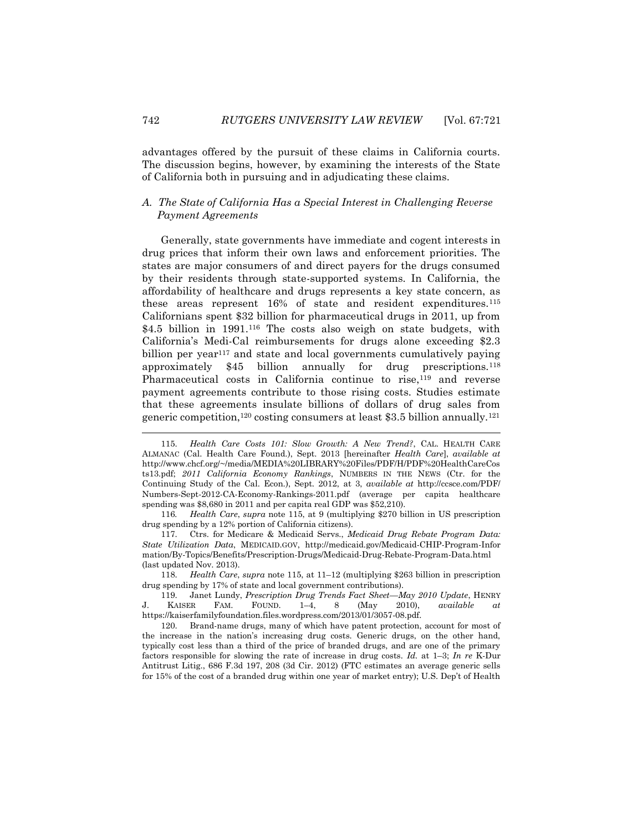advantages offered by the pursuit of these claims in California courts. The discussion begins, however, by examining the interests of the State of California both in pursuing and in adjudicating these claims.

## *A. The State of California Has a Special Interest in Challenging Reverse Payment Agreements*

Generally, state governments have immediate and cogent interests in drug prices that inform their own laws and enforcement priorities. The states are major consumers of and direct payers for the drugs consumed by their residents through state-supported systems. In California, the affordability of healthcare and drugs represents a key state concern, as these areas represent 16% of state and resident expenditures.<sup>115</sup> Californians spent \$32 billion for pharmaceutical drugs in 2011, up from \$4.5 billion in 1991.<sup>116</sup> The costs also weigh on state budgets, with California's Medi-Cal reimbursements for drugs alone exceeding \$2.3 billion per year<sup>117</sup> and state and local governments cumulatively paying approximately \$45 billion annually for drug prescriptions.<sup>118</sup> Pharmaceutical costs in California continue to rise,<sup>119</sup> and reverse payment agreements contribute to those rising costs. Studies estimate that these agreements insulate billions of dollars of drug sales from generic competition,<sup>120</sup> costing consumers at least \$3.5 billion annually.<sup>121</sup>

118. *Health Care*, *supra* note 115, at 11–12 (multiplying \$263 billion in prescription drug spending by 17% of state and local government contributions).

119. Janet Lundy, *Prescription Drug Trends Fact Sheet—May 2010 Update*, HENRY J. KAISER FAM. FOUND. 1–4, 8 (May 2010), *available at* https://kaiserfamilyfoundation.files.wordpress.com/2013/01/3057-08.pdf.

120. Brand-name drugs, many of which have patent protection, account for most of the increase in the nation's increasing drug costs. Generic drugs, on the other hand, typically cost less than a third of the price of branded drugs, and are one of the primary factors responsible for slowing the rate of increase in drug costs. *Id.* at 1–3; *In re* K-Dur Antitrust Litig., 686 F.3d 197, 208 (3d Cir. 2012) (FTC estimates an average generic sells for 15% of the cost of a branded drug within one year of market entry); U.S. Dep't of Health

<sup>115.</sup> *Health Care Costs 101: Slow Growth: A New Trend?*, CAL. HEALTH CARE ALMANAC (Cal. Health Care Found.), Sept. 2013 [hereinafter *Health Care*], *available at* http://www.chcf.org/~/media/MEDIA%20LIBRARY%20Files/PDF/H/PDF%20HealthCareCos ts13.pdf; *2011 California Economy Rankings*, NUMBERS IN THE NEWS (Ctr. for the Continuing Study of the Cal. Econ.), Sept. 2012, at 3, *available at* http://ccsce.com/PDF/ Numbers-Sept-2012-CA-Economy-Rankings-2011.pdf (average per capita healthcare spending was \$8,680 in 2011 and per capita real GDP was \$52,210).

<sup>116</sup>*. Health Care*, *supra* note 115, at 9 (multiplying \$270 billion in US prescription drug spending by a 12% portion of California citizens).

<sup>117.</sup> Ctrs. for Medicare & Medicaid Servs., *Medicaid Drug Rebate Program Data: State Utilization Data*, MEDICAID.GOV, http://medicaid.gov/Medicaid-CHIP-Program-Infor mation/By-Topics/Benefits/Prescription-Drugs/Medicaid-Drug-Rebate-Program-Data.html (last updated Nov. 2013).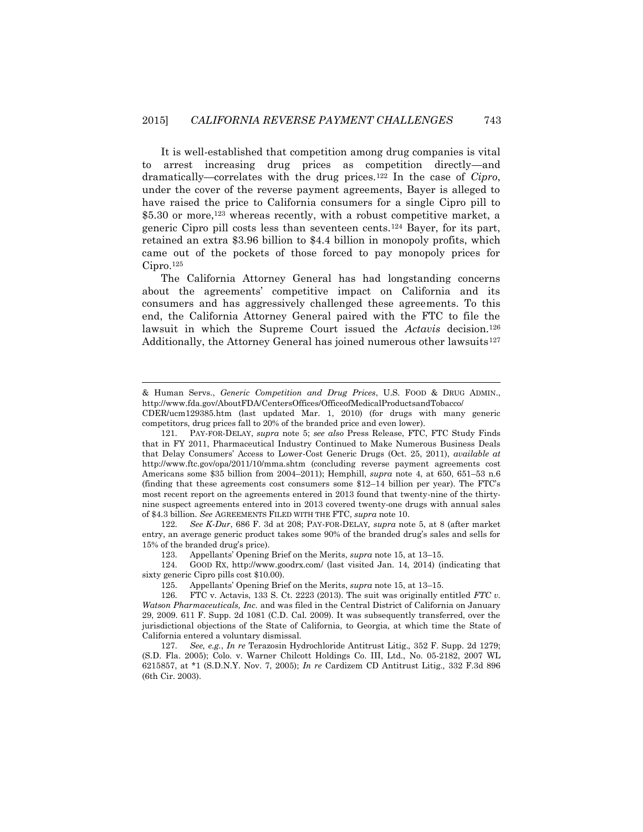It is well-established that competition among drug companies is vital to arrest increasing drug prices as competition directly—and dramatically—correlates with the drug prices.<sup>122</sup> In the case of *Cipro*, under the cover of the reverse payment agreements, Bayer is alleged to have raised the price to California consumers for a single Cipro pill to \$5.30 or more,<sup>123</sup> whereas recently, with a robust competitive market, a generic Cipro pill costs less than seventeen cents.<sup>124</sup> Bayer, for its part, retained an extra \$3.96 billion to \$4.4 billion in monopoly profits, which came out of the pockets of those forced to pay monopoly prices for  $Cipro.$ <sup>125</sup>

The California Attorney General has had longstanding concerns about the agreements' competitive impact on California and its consumers and has aggressively challenged these agreements. To this end, the California Attorney General paired with the FTC to file the lawsuit in which the Supreme Court issued the *Actavis* decision.<sup>126</sup> Additionally, the Attorney General has joined numerous other lawsuits $127$ 

 $\overline{a}$ 

122. *See K-Dur*, 686 F. 3d at 208; PAY-FOR-DELAY*, supra* note 5, at 8 (after market entry, an average generic product takes some 90% of the branded drug's sales and sells for 15% of the branded drug's price).

123. Appellants' Opening Brief on the Merits, *supra* note 15, at 13–15.

124. GOOD RX, http://www.goodrx.com/ (last visited Jan. 14, 2014) (indicating that sixty generic Cipro pills cost \$10.00).

125. Appellants' Opening Brief on the Merits, *supra* note 15, at 13–15.

<sup>&</sup>amp; Human Servs., *Generic Competition and Drug Prices*, U.S. FOOD & DRUG ADMIN., http://www.fda.gov/AboutFDA/CentersOffices/OfficeofMedicalProductsandTobacco/

CDER/ucm129385.htm (last updated Mar. 1, 2010) (for drugs with many generic competitors, drug prices fall to 20% of the branded price and even lower).

<sup>121.</sup> PAY-FOR-DELAY, *supra* note 5; *see also* Press Release, FTC, FTC Study Finds that in FY 2011, Pharmaceutical Industry Continued to Make Numerous Business Deals that Delay Consumers' Access to Lower-Cost Generic Drugs (Oct. 25, 2011), *available at*  http://www.ftc.gov/opa/2011/10/mma.shtm (concluding reverse payment agreements cost Americans some \$35 billion from 2004–2011); Hemphill, *supra* note 4, at 650, 651–53 n.6 (finding that these agreements cost consumers some \$12–14 billion per year). The FTC's most recent report on the agreements entered in 2013 found that twenty-nine of the thirtynine suspect agreements entered into in 2013 covered twenty-one drugs with annual sales of \$4.3 billion. *See* AGREEMENTS FILED WITH THE FTC, *supra* note 10.

<sup>126.</sup> FTC v. Actavis, 133 S. Ct. 2223 (2013). The suit was originally entitled *FTC v. Watson Pharmaceuticals, Inc.* and was filed in the Central District of California on January 29, 2009. 611 F. Supp. 2d 1081 (C.D. Cal. 2009). It was subsequently transferred, over the jurisdictional objections of the State of California, to Georgia, at which time the State of California entered a voluntary dismissal.

<sup>127.</sup> *See, e.g.*, *In re* Terazosin Hydrochloride Antitrust Litig.*,* 352 F. Supp. 2d 1279; (S.D. Fla. 2005); Colo. v. Warner Chilcott Holdings Co. III, Ltd., No. 05-2182, 2007 WL 6215857, at \*1 (S.D.N.Y. Nov. 7, 2005); *In re* Cardizem CD Antitrust Litig.*,* 332 F.3d 896 (6th Cir. 2003).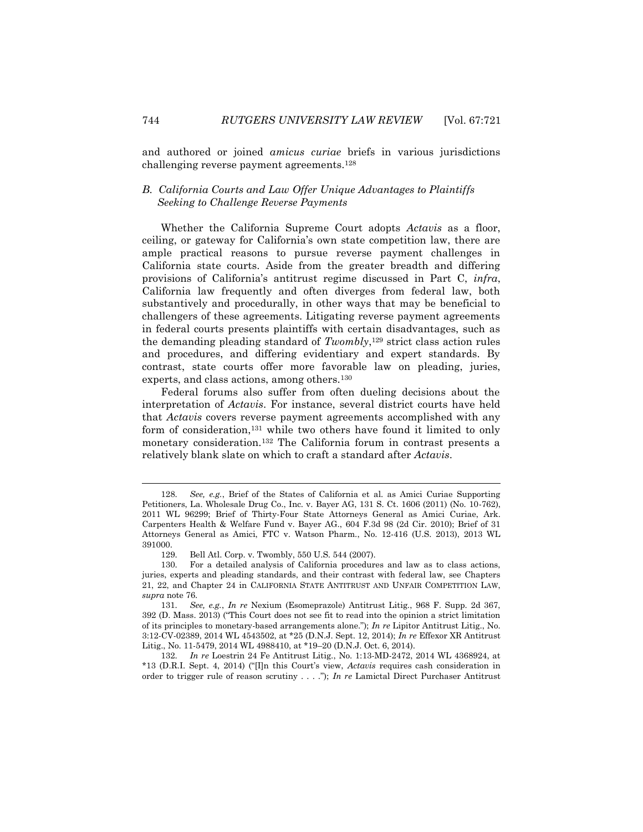and authored or joined *amicus curiae* briefs in various jurisdictions challenging reverse payment agreements.<sup>128</sup>

# *B. California Courts and Law Offer Unique Advantages to Plaintiffs Seeking to Challenge Reverse Payments*

Whether the California Supreme Court adopts *Actavis* as a floor, ceiling, or gateway for California's own state competition law, there are ample practical reasons to pursue reverse payment challenges in California state courts. Aside from the greater breadth and differing provisions of California's antitrust regime discussed in Part C, *infra*, California law frequently and often diverges from federal law, both substantively and procedurally, in other ways that may be beneficial to challengers of these agreements. Litigating reverse payment agreements in federal courts presents plaintiffs with certain disadvantages, such as the demanding pleading standard of *Twombly*, <sup>129</sup> strict class action rules and procedures, and differing evidentiary and expert standards. By contrast, state courts offer more favorable law on pleading, juries, experts, and class actions, among others.<sup>130</sup>

Federal forums also suffer from often dueling decisions about the interpretation of *Actavis*. For instance, several district courts have held that *Actavis* covers reverse payment agreements accomplished with any form of consideration,<sup>131</sup> while two others have found it limited to only monetary consideration.<sup>132</sup> The California forum in contrast presents a relatively blank slate on which to craft a standard after *Actavis*.

132. *In re* Loestrin 24 Fe Antitrust Litig., No. 1:13-MD-2472, 2014 WL 4368924, at \*13 (D.R.I. Sept. 4, 2014) ("[I]n this Court's view, *Actavis* requires cash consideration in order to trigger rule of reason scrutiny . . . ."); *In re* Lamictal Direct Purchaser Antitrust

l

<sup>128.</sup> *See, e.g.*, Brief of the States of California et al. as Amici Curiae Supporting Petitioners, La. Wholesale Drug Co., Inc. v. Bayer AG, 131 S. Ct. 1606 (2011) (No. 10-762), 2011 WL 96299; Brief of Thirty-Four State Attorneys General as Amici Curiae, Ark. Carpenters Health & Welfare Fund v. Bayer AG., 604 F.3d 98 (2d Cir. 2010); Brief of 31 Attorneys General as Amici, FTC v. Watson Pharm., No. 12-416 (U.S. 2013), 2013 WL 391000.

<sup>129.</sup> Bell Atl. Corp. v. Twombly, 550 U.S. 544 (2007).

<sup>130.</sup> For a detailed analysis of California procedures and law as to class actions, juries, experts and pleading standards, and their contrast with federal law, see Chapters 21, 22, and Chapter 24 in CALIFORNIA STATE ANTITRUST AND UNFAIR COMPETITION LAW, *supra* note 76.

<sup>131.</sup> *See, e.g.*, *In re* Nexium (Esomeprazole) Antitrust Litig., 968 F. Supp. 2d 367, 392 (D. Mass. 2013) ("This Court does not see fit to read into the opinion a strict limitation of its principles to monetary-based arrangements alone."); *In re* Lipitor Antitrust Litig., No. 3:12-CV-02389, 2014 WL 4543502, at \*25 (D.N.J. Sept. 12, 2014); *In re* Effexor XR Antitrust Litig., No. 11-5479, 2014 WL 4988410, at \*19–20 (D.N.J. Oct. 6, 2014).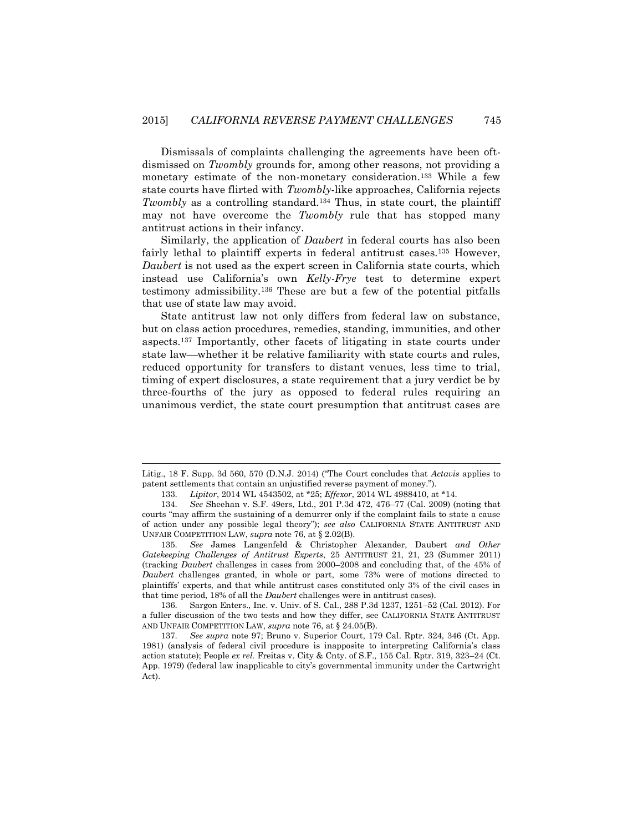Dismissals of complaints challenging the agreements have been oftdismissed on *Twombly* grounds for, among other reasons, not providing a monetary estimate of the non-monetary consideration.<sup>133</sup> While a few state courts have flirted with *Twombly*-like approaches, California rejects *Twombly* as a controlling standard.<sup>134</sup> Thus, in state court, the plaintiff may not have overcome the *Twombly* rule that has stopped many antitrust actions in their infancy.

Similarly, the application of *Daubert* in federal courts has also been fairly lethal to plaintiff experts in federal antitrust cases.<sup>135</sup> However, *Daubert* is not used as the expert screen in California state courts, which instead use California's own *Kelly-Frye* test to determine expert testimony admissibility.<sup>136</sup> These are but a few of the potential pitfalls that use of state law may avoid.

State antitrust law not only differs from federal law on substance, but on class action procedures, remedies, standing, immunities, and other aspects.<sup>137</sup> Importantly, other facets of litigating in state courts under state law—whether it be relative familiarity with state courts and rules, reduced opportunity for transfers to distant venues, less time to trial, timing of expert disclosures, a state requirement that a jury verdict be by three-fourths of the jury as opposed to federal rules requiring an unanimous verdict, the state court presumption that antitrust cases are

l

136. Sargon Enters., Inc. v. Univ. of S. Cal., 288 P.3d 1237, 1251–52 (Cal. 2012). For a fuller discussion of the two tests and how they differ, see CALIFORNIA STATE ANTITRUST AND UNFAIR COMPETITION LAW, *supra* note 76, at § 24.05(B).

Litig., 18 F. Supp. 3d 560, 570 (D.N.J. 2014) ("The Court concludes that *Actavis* applies to patent settlements that contain an unjustified reverse payment of money.").

<sup>133.</sup> *Lipitor*, 2014 WL 4543502, at \*25; *Effexor*, 2014 WL 4988410, at \*14.

<sup>134.</sup> *See* Sheehan v. S.F. 49ers, Ltd., 201 P.3d 472, 476–77 (Cal. 2009) (noting that courts "may affirm the sustaining of a demurrer only if the complaint fails to state a cause of action under any possible legal theory"); *see also* CALIFORNIA STATE ANTITRUST AND UNFAIR COMPETITION LAW, *supra* note 76, at § 2.02(B).

<sup>135.</sup> *See* James Langenfeld & Christopher Alexander, Daubert *and Other Gatekeeping Challenges of Antitrust Experts*, 25 ANTITRUST 21, 21, 23 (Summer 2011) (tracking *Daubert* challenges in cases from 2000–2008 and concluding that, of the 45% of *Daubert* challenges granted, in whole or part, some 73% were of motions directed to plaintiffs' experts, and that while antitrust cases constituted only 3% of the civil cases in that time period, 18% of all the *Daubert* challenges were in antitrust cases).

<sup>137.</sup> *See supra* note 97; Bruno v. Superior Court, 179 Cal. Rptr. 324, 346 (Ct. App. 1981) (analysis of federal civil procedure is inapposite to interpreting California's class action statute); People *ex rel.* Freitas v. City & Cnty. of S.F., 155 Cal. Rptr. 319, 323–24 (Ct. App. 1979) (federal law inapplicable to city's governmental immunity under the Cartwright Act).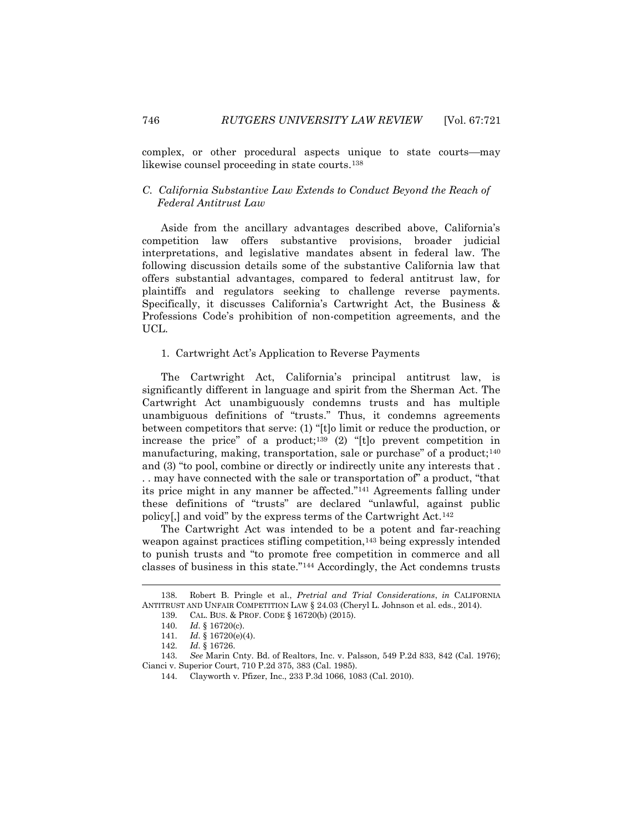complex, or other procedural aspects unique to state courts—may likewise counsel proceeding in state courts.<sup>138</sup>

## *C. California Substantive Law Extends to Conduct Beyond the Reach of Federal Antitrust Law*

Aside from the ancillary advantages described above, California's competition law offers substantive provisions, broader judicial interpretations, and legislative mandates absent in federal law. The following discussion details some of the substantive California law that offers substantial advantages, compared to federal antitrust law, for plaintiffs and regulators seeking to challenge reverse payments. Specifically, it discusses California's Cartwright Act, the Business & Professions Code's prohibition of non-competition agreements, and the UCL.

#### 1. Cartwright Act's Application to Reverse Payments

The Cartwright Act, California's principal antitrust law, is significantly different in language and spirit from the Sherman Act. The Cartwright Act unambiguously condemns trusts and has multiple unambiguous definitions of "trusts." Thus, it condemns agreements between competitors that serve: (1) "[t]o limit or reduce the production, or increase the price" of a product;<sup>139</sup> (2) "[t]o prevent competition in manufacturing, making, transportation, sale or purchase" of a product; $140$ and (3) "to pool, combine or directly or indirectly unite any interests that . . . may have connected with the sale or transportation of" a product, "that its price might in any manner be affected."<sup>141</sup> Agreements falling under these definitions of "trusts" are declared "unlawful, against public policy[,] and void" by the express terms of the Cartwright Act.<sup>142</sup>

The Cartwright Act was intended to be a potent and far-reaching weapon against practices stifling competition,<sup>143</sup> being expressly intended to punish trusts and "to promote free competition in commerce and all classes of business in this state."<sup>144</sup> Accordingly, the Act condemns trusts

<sup>138.</sup> Robert B. Pringle et al., *Pretrial and Trial Considerations*, *in* CALIFORNIA ANTITRUST AND UNFAIR COMPETITION LAW § 24.03 (Cheryl L. Johnson et al. eds., 2014).

<sup>139.</sup> CAL. BUS. & PROF. CODE § 16720(b) (2015).

<sup>140.</sup> *Id.* § 16720(c).

<sup>141.</sup> *Id.* § 16720(e)(4).

<sup>142.</sup> *Id.* § 16726.

<sup>143.</sup> *See* Marin Cnty. Bd. of Realtors, Inc. v. Palsson*,* 549 P.2d 833, 842 (Cal. 1976); Cianci v. Superior Court, 710 P.2d 375, 383 (Cal. 1985).

<sup>144.</sup> Clayworth v. Pfizer, Inc., 233 P.3d 1066, 1083 (Cal. 2010).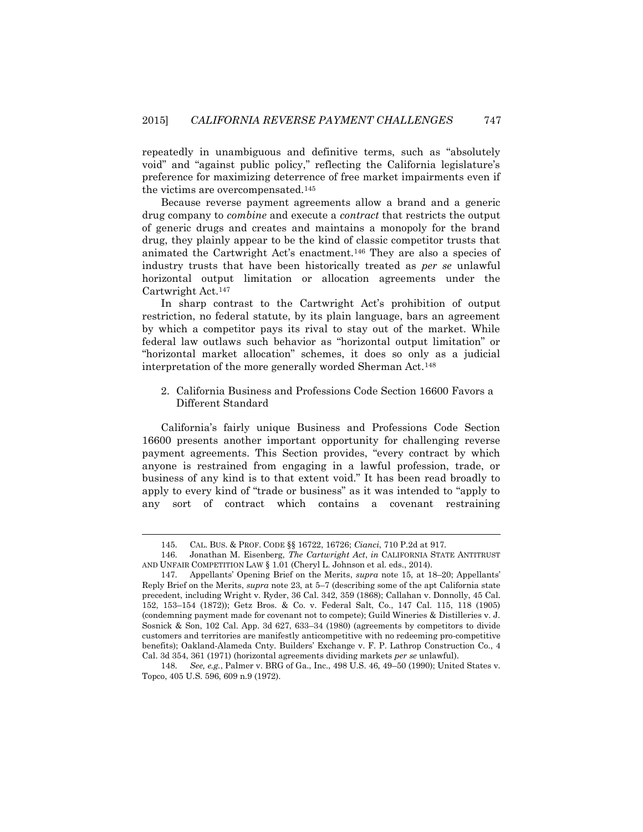repeatedly in unambiguous and definitive terms, such as "absolutely void" and "against public policy," reflecting the California legislature's preference for maximizing deterrence of free market impairments even if the victims are overcompensated.<sup>145</sup>

Because reverse payment agreements allow a brand and a generic drug company to *combine* and execute a *contract* that restricts the output of generic drugs and creates and maintains a monopoly for the brand drug, they plainly appear to be the kind of classic competitor trusts that animated the Cartwright Act's enactment.<sup>146</sup> They are also a species of industry trusts that have been historically treated as *per se* unlawful horizontal output limitation or allocation agreements under the Cartwright Act.<sup>147</sup>

In sharp contrast to the Cartwright Act's prohibition of output restriction, no federal statute, by its plain language, bars an agreement by which a competitor pays its rival to stay out of the market. While federal law outlaws such behavior as "horizontal output limitation" or "horizontal market allocation" schemes, it does so only as a judicial interpretation of the more generally worded Sherman Act.<sup>148</sup>

2. California Business and Professions Code Section 16600 Favors a Different Standard

California's fairly unique Business and Professions Code Section 16600 presents another important opportunity for challenging reverse payment agreements. This Section provides, "every contract by which anyone is restrained from engaging in a lawful profession, trade, or business of any kind is to that extent void." It has been read broadly to apply to every kind of "trade or business" as it was intended to "apply to any sort of contract which contains a covenant restraining

<sup>145.</sup> CAL. BUS. & PROF. CODE §§ 16722, 16726; *Cianci*, 710 P.2d at 917.

<sup>146.</sup> Jonathan M. Eisenberg, *The Cartwright Act*, *in* CALIFORNIA STATE ANTITRUST AND UNFAIR COMPETITION LAW § 1.01 (Cheryl L. Johnson et al. eds., 2014).

<sup>147.</sup> Appellants' Opening Brief on the Merits, *supra* note 15, at 18–20; Appellants' Reply Brief on the Merits, *supra* note 23, at 5–7 (describing some of the apt California state precedent, including Wright v. Ryder, 36 Cal. 342, 359 (1868); Callahan v. Donnolly, 45 Cal. 152, 153–154 (1872)); Getz Bros. & Co. v. Federal Salt, Co., 147 Cal. 115, 118 (1905) (condemning payment made for covenant not to compete); Guild Wineries & Distilleries v. J. Sosnick & Son, 102 Cal. App. 3d 627, 633–34 (1980) (agreements by competitors to divide customers and territories are manifestly anticompetitive with no redeeming pro-competitive benefits); Oakland-Alameda Cnty. Builders' Exchange v. F. P. Lathrop Construction Co., 4 Cal. 3d 354, 361 (1971) (horizontal agreements dividing markets *per se* unlawful).

<sup>148.</sup> *See, e.g.*, Palmer v. BRG of Ga., Inc., 498 U.S. 46, 49–50 (1990); United States v. Topco, 405 U.S. 596, 609 n.9 (1972).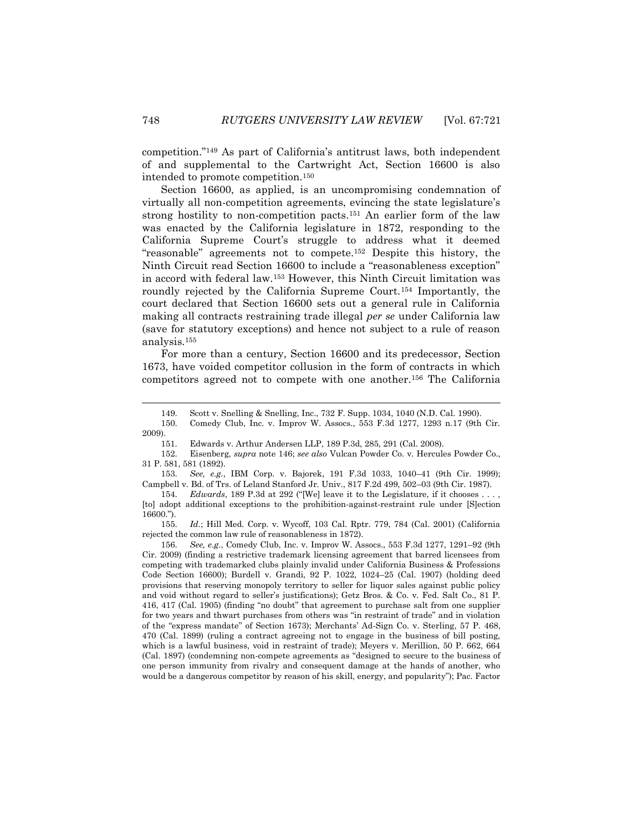competition."<sup>149</sup> As part of California's antitrust laws, both independent of and supplemental to the Cartwright Act, Section 16600 is also intended to promote competition.<sup>150</sup>

Section 16600, as applied, is an uncompromising condemnation of virtually all non-competition agreements, evincing the state legislature's strong hostility to non-competition pacts.<sup>151</sup> An earlier form of the law was enacted by the California legislature in 1872, responding to the California Supreme Court's struggle to address what it deemed "reasonable" agreements not to compete.<sup>152</sup> Despite this history, the Ninth Circuit read Section 16600 to include a "reasonableness exception" in accord with federal law.<sup>153</sup> However, this Ninth Circuit limitation was roundly rejected by the California Supreme Court.<sup>154</sup> Importantly, the court declared that Section 16600 sets out a general rule in California making all contracts restraining trade illegal *per se* under California law (save for statutory exceptions) and hence not subject to a rule of reason analysis.<sup>155</sup>

For more than a century, Section 16600 and its predecessor, Section 1673, have voided competitor collusion in the form of contracts in which competitors agreed not to compete with one another.<sup>156</sup> The California

150. Comedy Club, Inc. v. Improv W. Assocs., 553 F.3d 1277, 1293 n.17 (9th Cir. 2009).

153. *See, e.g.*, IBM Corp. v. Bajorek, 191 F.3d 1033, 1040–41 (9th Cir. 1999); Campbell v. Bd. of Trs. of Leland Stanford Jr. Univ., 817 F.2d 499, 502–03 (9th Cir. 1987).

154. *Edwards*, 189 P.3d at 292 ("[We] leave it to the Legislature, if it chooses . . . , [to] adopt additional exceptions to the prohibition-against-restraint rule under [S]ection 16600.").

155. *Id.*; Hill Med. Corp. v. Wycoff, 103 Cal. Rptr. 779, 784 (Cal. 2001) (California rejected the common law rule of reasonableness in 1872).

156. *See, e.g.*, Comedy Club, Inc. v. Improv W. Assocs., 553 F.3d 1277, 1291–92 (9th Cir. 2009) (finding a restrictive trademark licensing agreement that barred licensees from competing with trademarked clubs plainly invalid under California Business & Professions Code Section 16600); Burdell v. Grandi, 92 P. 1022, 1024–25 (Cal. 1907) (holding deed provisions that reserving monopoly territory to seller for liquor sales against public policy and void without regard to seller's justifications); Getz Bros. & Co. v. Fed. Salt Co., 81 P. 416, 417 (Cal. 1905) (finding "no doubt" that agreement to purchase salt from one supplier for two years and thwart purchases from others was "in restraint of trade" and in violation of the "express mandate" of Section 1673); Merchants' Ad-Sign Co. v. Sterling, 57 P. 468, 470 (Cal. 1899) (ruling a contract agreeing not to engage in the business of bill posting, which is a lawful business, void in restraint of trade); Meyers v. Merillion, 50 P. 662, 664 (Cal. 1897) (condemning non-compete agreements as "designed to secure to the business of one person immunity from rivalry and consequent damage at the hands of another, who would be a dangerous competitor by reason of his skill, energy, and popularity"); Pac. Factor

l

<sup>149.</sup> Scott v. Snelling & Snelling, Inc., 732 F. Supp. 1034, 1040 (N.D. Cal. 1990).

<sup>151.</sup> Edwards v. Arthur Andersen LLP, 189 P.3d, 285, 291 (Cal. 2008).

<sup>152.</sup> Eisenberg, *supra* note 146; *see also* Vulcan Powder Co. v. Hercules Powder Co., 31 P. 581, 581 (1892).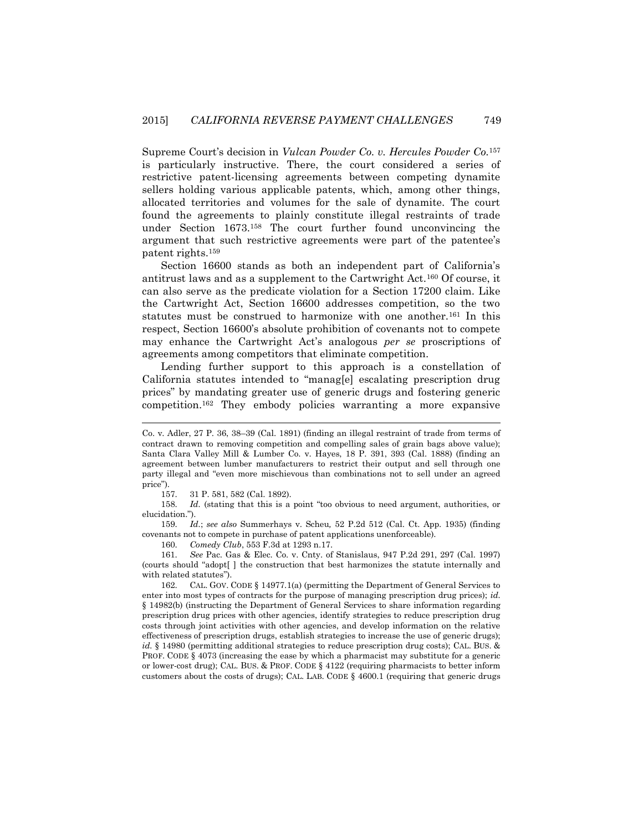Supreme Court's decision in *Vulcan Powder Co. v. Hercules Powder Co.*<sup>157</sup> is particularly instructive. There, the court considered a series of restrictive patent-licensing agreements between competing dynamite sellers holding various applicable patents, which, among other things, allocated territories and volumes for the sale of dynamite. The court found the agreements to plainly constitute illegal restraints of trade under Section 1673.<sup>158</sup> The court further found unconvincing the argument that such restrictive agreements were part of the patentee's patent rights.<sup>159</sup>

Section 16600 stands as both an independent part of California's antitrust laws and as a supplement to the Cartwright Act.<sup>160</sup> Of course, it can also serve as the predicate violation for a Section 17200 claim. Like the Cartwright Act, Section 16600 addresses competition, so the two statutes must be construed to harmonize with one another.<sup>161</sup> In this respect, Section 16600's absolute prohibition of covenants not to compete may enhance the Cartwright Act's analogous *per se* proscriptions of agreements among competitors that eliminate competition.

Lending further support to this approach is a constellation of California statutes intended to "manag[e] escalating prescription drug prices" by mandating greater use of generic drugs and fostering generic competition.<sup>162</sup> They embody policies warranting a more expansive

l

160. *Comedy Club*, 553 F.3d at 1293 n.17.

Co. v. Adler, 27 P. 36, 38–39 (Cal. 1891) (finding an illegal restraint of trade from terms of contract drawn to removing competition and compelling sales of grain bags above value); Santa Clara Valley Mill & Lumber Co. v. Hayes, 18 P. 391, 393 (Cal. 1888) (finding an agreement between lumber manufacturers to restrict their output and sell through one party illegal and "even more mischievous than combinations not to sell under an agreed price").

<sup>157.</sup> 31 P. 581, 582 (Cal. 1892).

<sup>158.</sup> *Id.* (stating that this is a point "too obvious to need argument, authorities, or elucidation.").

<sup>159.</sup> *Id.*; *see also* Summerhays v. Scheu*,* 52 P.2d 512 (Cal. Ct. App. 1935) (finding covenants not to compete in purchase of patent applications unenforceable).

<sup>161.</sup> *See* Pac. Gas & Elec. Co. v. Cnty. of Stanislaus, 947 P.2d 291, 297 (Cal. 1997) (courts should "adopt[ ] the construction that best harmonizes the statute internally and with related statutes").

<sup>162.</sup> CAL. GOV. CODE § 14977.1(a) (permitting the Department of General Services to enter into most types of contracts for the purpose of managing prescription drug prices); *id.*  § 14982(b) (instructing the Department of General Services to share information regarding prescription drug prices with other agencies, identify strategies to reduce prescription drug costs through joint activities with other agencies, and develop information on the relative effectiveness of prescription drugs, establish strategies to increase the use of generic drugs); *id.* § 14980 (permitting additional strategies to reduce prescription drug costs); CAL. BUS. & PROF. CODE § 4073 (increasing the ease by which a pharmacist may substitute for a generic or lower-cost drug); CAL. BUS. & PROF. CODE § 4122 (requiring pharmacists to better inform customers about the costs of drugs); CAL. LAB. CODE § 4600.1 (requiring that generic drugs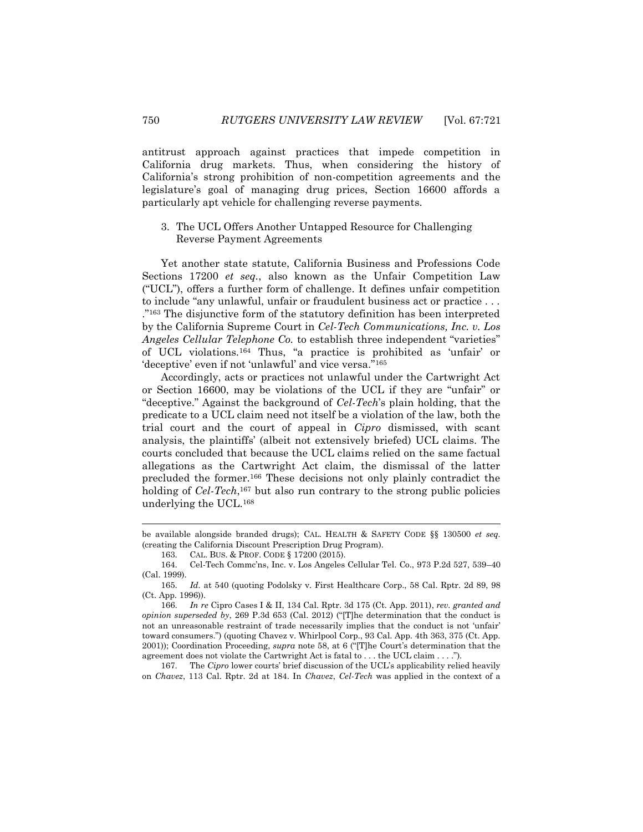antitrust approach against practices that impede competition in California drug markets. Thus, when considering the history of California's strong prohibition of non-competition agreements and the legislature's goal of managing drug prices, Section 16600 affords a particularly apt vehicle for challenging reverse payments.

## 3. The UCL Offers Another Untapped Resource for Challenging Reverse Payment Agreements

Yet another state statute, California Business and Professions Code Sections 17200 *et seq.*, also known as the Unfair Competition Law ("UCL"), offers a further form of challenge. It defines unfair competition to include "any unlawful, unfair or fraudulent business act or practice . . . ."<sup>163</sup> The disjunctive form of the statutory definition has been interpreted by the California Supreme Court in *Cel-Tech Communications, Inc. v. Los Angeles Cellular Telephone Co.* to establish three independent "varieties" of UCL violations.<sup>164</sup> Thus, "a practice is prohibited as 'unfair' or 'deceptive' even if not 'unlawful' and vice versa."<sup>165</sup>

Accordingly, acts or practices not unlawful under the Cartwright Act or Section 16600, may be violations of the UCL if they are "unfair" or "deceptive." Against the background of *Cel-Tech*'s plain holding, that the predicate to a UCL claim need not itself be a violation of the law, both the trial court and the court of appeal in *Cipro* dismissed, with scant analysis, the plaintiffs' (albeit not extensively briefed) UCL claims. The courts concluded that because the UCL claims relied on the same factual allegations as the Cartwright Act claim, the dismissal of the latter precluded the former.<sup>166</sup> These decisions not only plainly contradict the holding of *Cel-Tech*,<sup>167</sup> but also run contrary to the strong public policies underlying the UCL.<sup>168</sup>

167. The *Cipro* lower courts' brief discussion of the UCL's applicability relied heavily on *Chavez*, 113 Cal. Rptr. 2d at 184. In *Chavez*, *Cel-Tech* was applied in the context of a

be available alongside branded drugs); CAL. HEALTH & SAFETY CODE §§ 130500 *et seq.* (creating the California Discount Prescription Drug Program).

<sup>163.</sup> CAL. BUS. & PROF. CODE § 17200 (2015).

<sup>164.</sup> Cel-Tech Commc'ns, Inc. v. Los Angeles Cellular Tel. Co., 973 P.2d 527, 539–40 (Cal. 1999).

<sup>165.</sup> *Id.* at 540 (quoting Podolsky v. First Healthcare Corp., 58 Cal. Rptr. 2d 89, 98 (Ct. App. 1996)).

<sup>166.</sup> *In re* Cipro Cases I & II, 134 Cal. Rptr. 3d 175 (Ct. App. 2011), *rev. granted and opinion superseded by*, 269 P.3d 653 (Cal. 2012) ("[T]he determination that the conduct is not an unreasonable restraint of trade necessarily implies that the conduct is not 'unfair' toward consumers.") (quoting Chavez v. Whirlpool Corp., 93 Cal. App. 4th 363, 375 (Ct. App. 2001)); Coordination Proceeding, *supra* note 58, at 6 ("[T]he Court's determination that the agreement does not violate the Cartwright Act is fatal to . . . the UCL claim . . . .").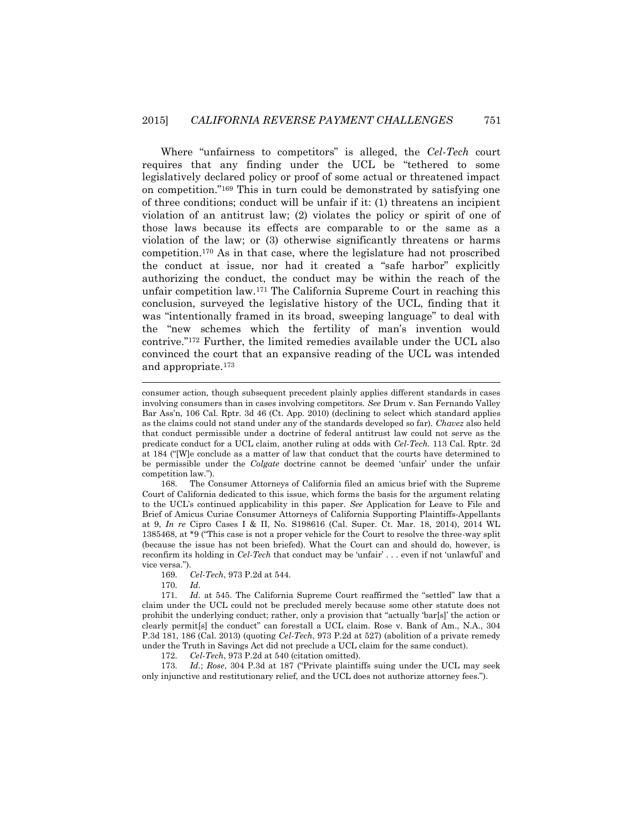Where "unfairness to competitors" is alleged, the *Cel-Tech* court requires that any finding under the UCL be "tethered to some legislatively declared policy or proof of some actual or threatened impact on competition."<sup>169</sup> This in turn could be demonstrated by satisfying one of three conditions; conduct will be unfair if it: (1) threatens an incipient violation of an antitrust law; (2) violates the policy or spirit of one of those laws because its effects are comparable to or the same as a violation of the law; or (3) otherwise significantly threatens or harms competition.<sup>170</sup> As in that case, where the legislature had not proscribed the conduct at issue, nor had it created a "safe harbor" explicitly authorizing the conduct, the conduct may be within the reach of the unfair competition law.<sup>171</sup> The California Supreme Court in reaching this conclusion, surveyed the legislative history of the UCL, finding that it was "intentionally framed in its broad, sweeping language" to deal with the "new schemes which the fertility of man's invention would contrive."<sup>172</sup> Further, the limited remedies available under the UCL also convinced the court that an expansive reading of the UCL was intended and appropriate.<sup>173</sup>

168. The Consumer Attorneys of California filed an amicus brief with the Supreme Court of California dedicated to this issue, which forms the basis for the argument relating to the UCL's continued applicability in this paper. *See* Application for Leave to File and Brief of Amicus Curiae Consumer Attorneys of California Supporting Plaintiffs-Appellants at 9, *In re* Cipro Cases I & II, No. S198616 (Cal. Super. Ct. Mar. 18, 2014), 2014 WL 1385468, at \*9 ("This case is not a proper vehicle for the Court to resolve the three-way split (because the issue has not been briefed). What the Court can and should do, however, is reconfirm its holding in *Cel-Tech* that conduct may be 'unfair' . . . even if not 'unlawful' and vice versa.").

169. *Cel-Tech*, 973 P.2d at 544.

170. *Id.*

 $\overline{a}$ 

172. *Cel-Tech*, 973 P.2d at 540 (citation omitted).

173. *Id.*; *Rose*, 304 P.3d at 187 ("Private plaintiffs suing under the UCL may seek only injunctive and restitutionary relief, and the UCL does not authorize attorney fees.").

consumer action, though subsequent precedent plainly applies different standards in cases involving consumers than in cases involving competitors. *See* Drum v. San Fernando Valley Bar Ass'n, 106 Cal. Rptr. 3d 46 (Ct. App. 2010) (declining to select which standard applies as the claims could not stand under any of the standards developed so far). *Chavez* also held that conduct permissible under a doctrine of federal antitrust law could not serve as the predicate conduct for a UCL claim, another ruling at odds with *Cel-Tech*. 113 Cal. Rptr. 2d at 184 ("[W]e conclude as a matter of law that conduct that the courts have determined to be permissible under the *Colgate* doctrine cannot be deemed 'unfair' under the unfair competition law.").

<sup>171.</sup> *Id.* at 545. The California Supreme Court reaffirmed the "settled" law that a claim under the UCL could not be precluded merely because some other statute does not prohibit the underlying conduct; rather, only a provision that "actually 'bar[s]' the action or clearly permit[s] the conduct" can forestall a UCL claim. Rose v. Bank of Am., N.A., 304 P.3d 181, 186 (Cal. 2013) (quoting *Cel-Tech*, 973 P.2d at 527) (abolition of a private remedy under the Truth in Savings Act did not preclude a UCL claim for the same conduct).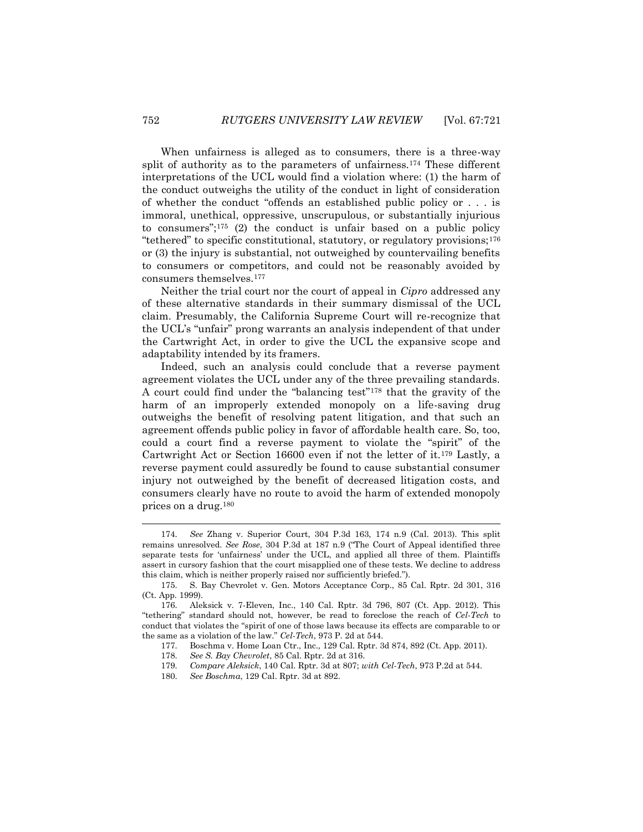When unfairness is alleged as to consumers, there is a three-way split of authority as to the parameters of unfairness.<sup>174</sup> These different interpretations of the UCL would find a violation where: (1) the harm of the conduct outweighs the utility of the conduct in light of consideration of whether the conduct "offends an established public policy or . . . is immoral, unethical, oppressive, unscrupulous, or substantially injurious to consumers";<sup>175</sup> (2) the conduct is unfair based on a public policy "tethered" to specific constitutional, statutory, or regulatory provisions;<sup>176</sup> or (3) the injury is substantial, not outweighed by countervailing benefits to consumers or competitors, and could not be reasonably avoided by consumers themselves.<sup>177</sup>

Neither the trial court nor the court of appeal in *Cipro* addressed any of these alternative standards in their summary dismissal of the UCL claim. Presumably, the California Supreme Court will re-recognize that the UCL's "unfair" prong warrants an analysis independent of that under the Cartwright Act, in order to give the UCL the expansive scope and adaptability intended by its framers.

Indeed, such an analysis could conclude that a reverse payment agreement violates the UCL under any of the three prevailing standards. A court could find under the "balancing test"<sup>178</sup> that the gravity of the harm of an improperly extended monopoly on a life-saving drug outweighs the benefit of resolving patent litigation, and that such an agreement offends public policy in favor of affordable health care. So, too, could a court find a reverse payment to violate the "spirit" of the Cartwright Act or Section 16600 even if not the letter of it.<sup>179</sup> Lastly, a reverse payment could assuredly be found to cause substantial consumer injury not outweighed by the benefit of decreased litigation costs, and consumers clearly have no route to avoid the harm of extended monopoly prices on a drug.<sup>180</sup>

<sup>174.</sup> *See* Zhang v. Superior Court, 304 P.3d 163, 174 n.9 (Cal. 2013). This split remains unresolved. *See Rose*, 304 P.3d at 187 n.9 ("The Court of Appeal identified three separate tests for 'unfairness' under the UCL, and applied all three of them. Plaintiffs assert in cursory fashion that the court misapplied one of these tests. We decline to address this claim, which is neither properly raised nor sufficiently briefed.").

<sup>175.</sup> S. Bay Chevrolet v. Gen. Motors Acceptance Corp., 85 Cal. Rptr. 2d 301, 316 (Ct. App. 1999).

<sup>176.</sup> Aleksick v. 7-Eleven, Inc., 140 Cal. Rptr. 3d 796, 807 (Ct. App. 2012). This "tethering" standard should not, however, be read to foreclose the reach of *Cel-Tech* to conduct that violates the "spirit of one of those laws because its effects are comparable to or the same as a violation of the law." *Cel-Tech*, 973 P. 2d at 544.

<sup>177.</sup> Boschma v. Home Loan Ctr., Inc., 129 Cal. Rptr. 3d 874, 892 (Ct. App. 2011).

<sup>178.</sup> *See S. Bay Chevrolet*, 85 Cal. Rptr. 2d at 316.

<sup>179.</sup> *Compare Aleksick*, 140 Cal. Rptr. 3d at 807; *with Cel-Tech*, 973 P.2d at 544.

<sup>180.</sup> *See Boschma*, 129 Cal. Rptr. 3d at 892.